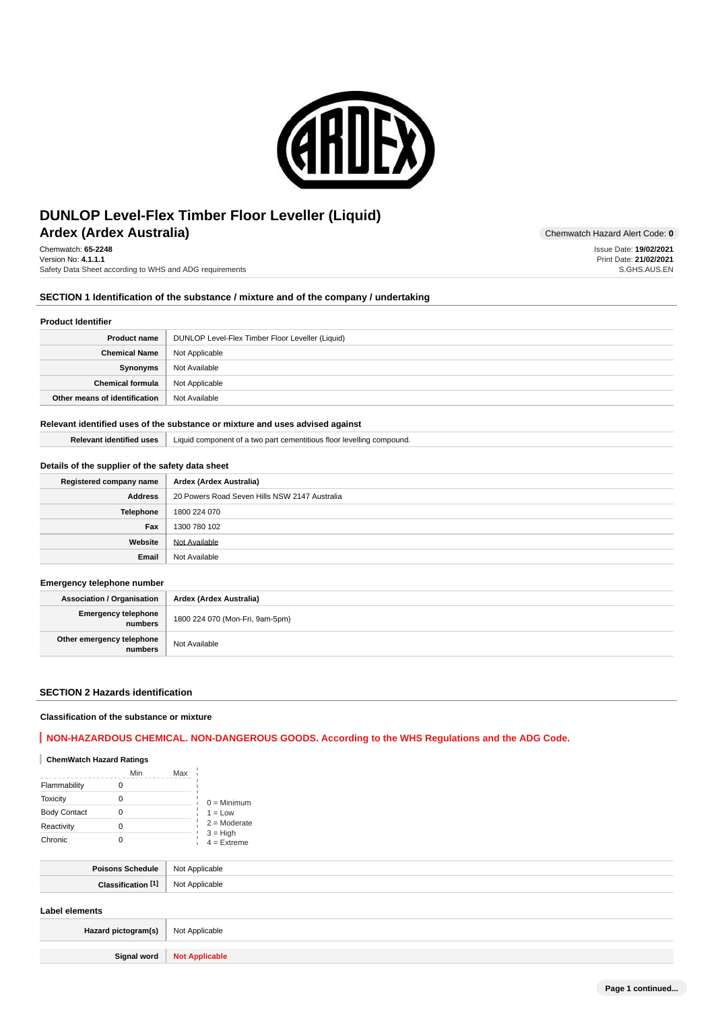

# **Ardex (Ardex Australia)** Chemwatch Hazard Alert Code: 0 **DUNLOP Level-Flex Timber Floor Leveller (Liquid)**

Chemwatch: **65-2248** Version No: **4.1.1.1** Safety Data Sheet according to WHS and ADG requirements

## **SECTION 1 Identification of the substance / mixture and of the company / undertaking**

#### **Product Identifier**

| <b>Product name</b>           | DUNLOP Level-Flex Timber Floor Leveller (Liquid) |
|-------------------------------|--------------------------------------------------|
| <b>Chemical Name</b>          | Not Applicable                                   |
| Synonyms                      | Not Available                                    |
| <b>Chemical formula</b>       | Not Applicable                                   |
| Other means of identification | Not Available                                    |

### **Relevant identified uses of the substance or mixture and uses advised against**

**Relevant identified uses** Liquid component of a two part cementitious floor levelling compound.

### **Details of the supplier of the safety data sheet**

| Registered company name | Ardex (Ardex Australia)                       |
|-------------------------|-----------------------------------------------|
| <b>Address</b>          | 20 Powers Road Seven Hills NSW 2147 Australia |
| Telephone               | 1800 224 070                                  |
| Fax                     | 1300 780 102                                  |
| Website                 | Not Available                                 |
| Email                   | Not Available                                 |

### **Emergency telephone number**

**Association / Organisation Ardex (Ardex Australia) Emergency telephone numbers** 1800 224 070 (Mon-Fri, 9am-5pm) **Other emergency telephone numbers** Not Available

### **SECTION 2 Hazards identification**

### **Classification of the substance or mixture**

# **NON-HAZARDOUS CHEMICAL. NON-DANGEROUS GOODS. According to the WHS Regulations and the ADG Code.**

### **ChemWatch Hazard Ratings**

|                     | Min | Max |                                               |
|---------------------|-----|-----|-----------------------------------------------|
| Flammability        |     |     |                                               |
| <b>Toxicity</b>     | Ω   |     | $0 =$ Minimum                                 |
| <b>Body Contact</b> | 0   |     | $1 = Low$                                     |
| Reactivity          |     |     | $2 =$ Moderate<br>$3 = High$<br>$4 =$ Extreme |
| Chronic             |     |     |                                               |

| NIC<br>. |
|----------|
| יי       |

## **Label elements**

| Hazard pictogram(s)   Not Applicable |                              |
|--------------------------------------|------------------------------|
|                                      |                              |
|                                      | Signal word   Not Applicable |

Issue Date: **19/02/2021**

Print Date: **21/02/2021** S.GHS.AUS.EN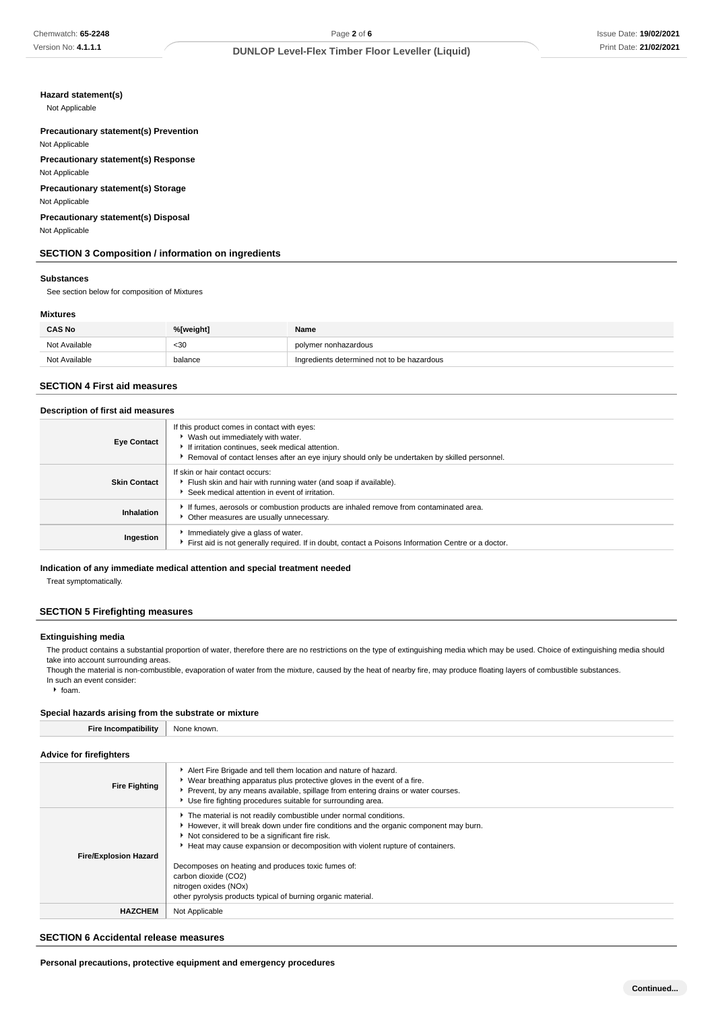# **Hazard statement(s)**

Not Applicable

### **Precautionary statement(s) Prevention** Not Applicable

**Precautionary statement(s) Response**

Not Applicable

### **Precautionary statement(s) Storage** Not Applicable

# **Precautionary statement(s) Disposal**

Not Applicable

# **SECTION 3 Composition / information on ingredients**

#### **Substances**

See section below for composition of Mixtures

### **Mixtures**

| <b>CAS No</b> | %[weight] | Name                                       |
|---------------|-----------|--------------------------------------------|
| Not Available | $30$      | polymer nonhazardous                       |
| Not Available | balance   | Ingredients determined not to be hazardous |

### **SECTION 4 First aid measures**

#### **Description of first aid measures**

| <b>Eye Contact</b>  | If this product comes in contact with eyes:<br>▶ Wash out immediately with water.<br>If irritation continues, seek medical attention.<br>Removal of contact lenses after an eye injury should only be undertaken by skilled personnel. |
|---------------------|----------------------------------------------------------------------------------------------------------------------------------------------------------------------------------------------------------------------------------------|
| <b>Skin Contact</b> | If skin or hair contact occurs:<br>Flush skin and hair with running water (and soap if available).<br>Seek medical attention in event of irritation.                                                                                   |
| Inhalation          | If fumes, aerosols or combustion products are inhaled remove from contaminated area.<br>Other measures are usually unnecessary.                                                                                                        |
| Ingestion           | Immediately give a glass of water.<br>First aid is not generally required. If in doubt, contact a Poisons Information Centre or a doctor.                                                                                              |

#### **Indication of any immediate medical attention and special treatment needed**

Treat symptomatically.

### **SECTION 5 Firefighting measures**

### **Extinguishing media**

The product contains a substantial proportion of water, therefore there are no restrictions on the type of extinguishing media which may be used. Choice of extinguishing media should take into account surrounding areas.

Though the material is non-combustible, evaporation of water from the mixture, caused by the heat of nearby fire, may produce floating layers of combustible substances. In such an event consider:

 $\cdot$  foam.

### **Special hazards arising from the substrate or mixture**

**Fire Incompatibility** None known.

**Advice for firefighters**

| <b>Fire Fighting</b>         | Alert Fire Brigade and tell them location and nature of hazard.<br>▶ Wear breathing apparatus plus protective gloves in the event of a fire.<br>Prevent, by any means available, spillage from entering drains or water courses.<br>Use fire fighting procedures suitable for surrounding area.                                                                                                                                                                     |
|------------------------------|---------------------------------------------------------------------------------------------------------------------------------------------------------------------------------------------------------------------------------------------------------------------------------------------------------------------------------------------------------------------------------------------------------------------------------------------------------------------|
| <b>Fire/Explosion Hazard</b> | The material is not readily combustible under normal conditions.<br>However, it will break down under fire conditions and the organic component may burn.<br>Not considered to be a significant fire risk.<br>Heat may cause expansion or decomposition with violent rupture of containers.<br>Decomposes on heating and produces toxic fumes of:<br>carbon dioxide (CO2)<br>nitrogen oxides (NOx)<br>other pyrolysis products typical of burning organic material. |
| <b>HAZCHEM</b>               | Not Applicable                                                                                                                                                                                                                                                                                                                                                                                                                                                      |

### **SECTION 6 Accidental release measures**

**Personal precautions, protective equipment and emergency procedures**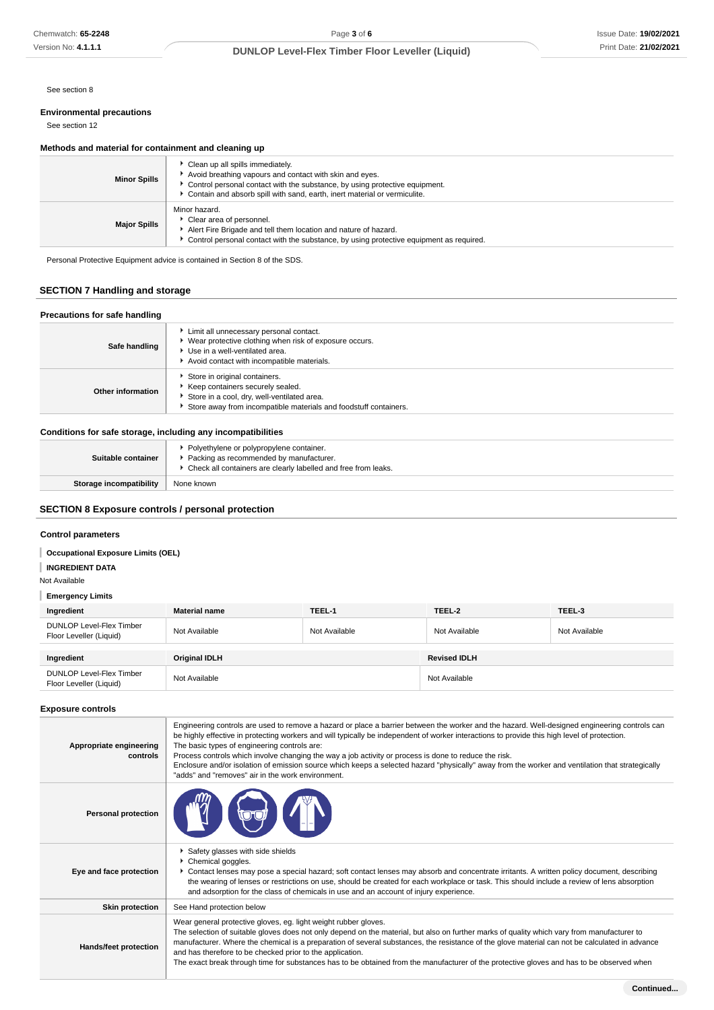See section 8

# **Environmental precautions**

See section 12

### **Methods and material for containment and cleaning up**

| <b>Minor Spills</b> | Clean up all spills immediately.<br>Avoid breathing vapours and contact with skin and eyes.<br>► Control personal contact with the substance, by using protective equipment.<br>* Contain and absorb spill with sand, earth, inert material or vermiculite. |
|---------------------|-------------------------------------------------------------------------------------------------------------------------------------------------------------------------------------------------------------------------------------------------------------|
| <b>Major Spills</b> | Minor hazard.<br>Clear area of personnel.<br>Alert Fire Brigade and tell them location and nature of hazard.<br>► Control personal contact with the substance, by using protective equipment as required.                                                   |

Personal Protective Equipment advice is contained in Section 8 of the SDS.

# **SECTION 7 Handling and storage**

| Precautions for safe handling |                                                                                                                                                                                       |  |  |  |
|-------------------------------|---------------------------------------------------------------------------------------------------------------------------------------------------------------------------------------|--|--|--|
| Safe handling                 | Limit all unnecessary personal contact.<br>▶ Wear protective clothing when risk of exposure occurs.<br>▶ Use in a well-ventilated area.<br>Avoid contact with incompatible materials. |  |  |  |
| Other information             | Store in original containers.<br>Keep containers securely sealed.<br>Store in a cool, dry, well-ventilated area.<br>Store away from incompatible materials and foodstuff containers.  |  |  |  |

# **Conditions for safe storage, including any incompatibilities**

| Suitable container             | • Polyethylene or polypropylene container.<br>Packing as recommended by manufacturer.<br>▶ Check all containers are clearly labelled and free from leaks. |  |  |  |
|--------------------------------|-----------------------------------------------------------------------------------------------------------------------------------------------------------|--|--|--|
| <b>Storage incompatibility</b> | None known                                                                                                                                                |  |  |  |

# **SECTION 8 Exposure controls / personal protection**

# **Control parameters**

# **Occupational Exposure Limits (OEL)**

# **INGREDIENT DATA**

Not Available

# **Emergency Limits**

| Ingredient                                                 | <b>Material name</b> | TEEL-1        | TEEL-2              | TEEL-3        |
|------------------------------------------------------------|----------------------|---------------|---------------------|---------------|
| <b>DUNLOP Level-Flex Timber</b><br>Floor Leveller (Liquid) | Not Available        | Not Available | Not Available       | Not Available |
|                                                            |                      |               |                     |               |
| Ingredient                                                 | <b>Original IDLH</b> |               | <b>Revised IDLH</b> |               |
| DUNLOP Level-Flex Timber<br>Floor Leveller (Liquid)        | Not Available        |               | Not Available       |               |

### **Exposure controls**

| Appropriate engineering<br>controls | Engineering controls are used to remove a hazard or place a barrier between the worker and the hazard. Well-designed engineering controls can<br>be highly effective in protecting workers and will typically be independent of worker interactions to provide this high level of protection.<br>The basic types of engineering controls are:<br>Process controls which involve changing the way a job activity or process is done to reduce the risk.<br>Enclosure and/or isolation of emission source which keeps a selected hazard "physically" away from the worker and ventilation that strategically<br>"adds" and "removes" air in the work environment. |
|-------------------------------------|-----------------------------------------------------------------------------------------------------------------------------------------------------------------------------------------------------------------------------------------------------------------------------------------------------------------------------------------------------------------------------------------------------------------------------------------------------------------------------------------------------------------------------------------------------------------------------------------------------------------------------------------------------------------|
| <b>Personal protection</b>          |                                                                                                                                                                                                                                                                                                                                                                                                                                                                                                                                                                                                                                                                 |
| Eye and face protection             | Safety glasses with side shields<br>Chemical goggles.<br>Contact lenses may pose a special hazard; soft contact lenses may absorb and concentrate irritants. A written policy document, describing<br>the wearing of lenses or restrictions on use, should be created for each workplace or task. This should include a review of lens absorption<br>and adsorption for the class of chemicals in use and an account of injury experience.                                                                                                                                                                                                                      |
| <b>Skin protection</b>              | See Hand protection below                                                                                                                                                                                                                                                                                                                                                                                                                                                                                                                                                                                                                                       |
| Hands/feet protection               | Wear general protective gloves, eg. light weight rubber gloves.<br>The selection of suitable gloves does not only depend on the material, but also on further marks of quality which vary from manufacturer to<br>manufacturer. Where the chemical is a preparation of several substances, the resistance of the glove material can not be calculated in advance<br>and has therefore to be checked prior to the application.<br>The exact break through time for substances has to be obtained from the manufacturer of the protective gloves and has to be observed when                                                                                      |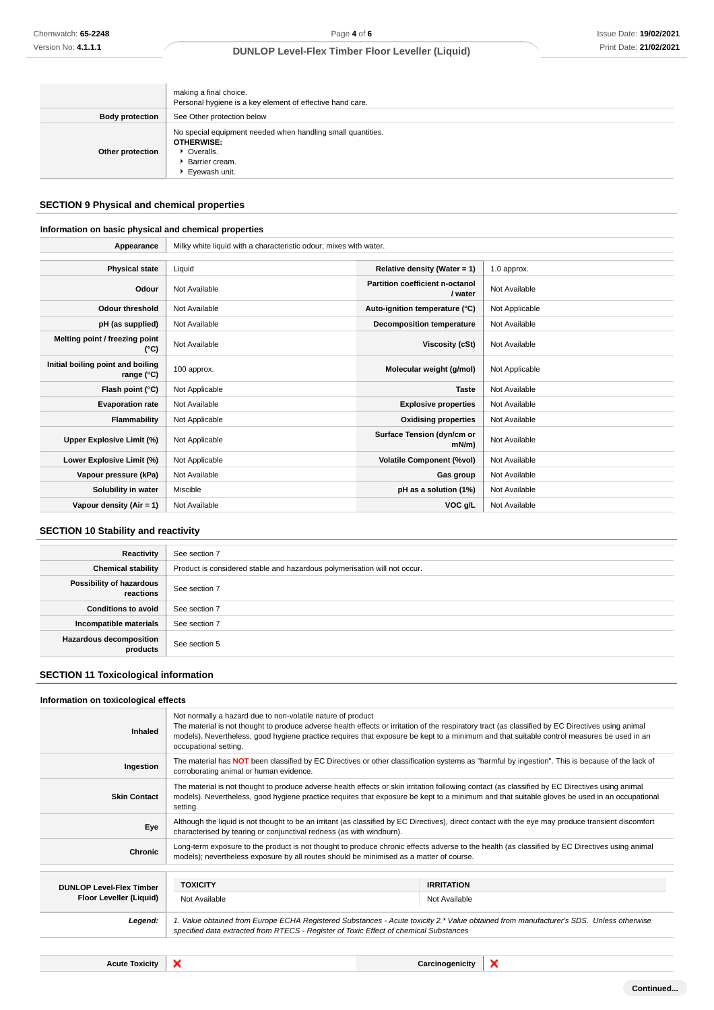|                        | making a final choice.<br>Personal hygiene is a key element of effective hand care.                                                |
|------------------------|------------------------------------------------------------------------------------------------------------------------------------|
| <b>Body protection</b> | See Other protection below                                                                                                         |
| Other protection       | No special equipment needed when handling small quantities.<br><b>OTHERWISE:</b><br>• Overalls.<br>Barrier cream.<br>Eyewash unit. |

# **SECTION 9 Physical and chemical properties**

# **Information on basic physical and chemical properties**

**Appearance** Milky white liquid with a characteristic odour; mixes with water.

| <b>Physical state</b>                             | Liquid         | Relative density (Water = $1$ )            | 1.0 approx.    |
|---------------------------------------------------|----------------|--------------------------------------------|----------------|
| Odour                                             | Not Available  | Partition coefficient n-octanol<br>/ water | Not Available  |
| <b>Odour threshold</b>                            | Not Available  | Auto-ignition temperature (°C)             | Not Applicable |
| pH (as supplied)                                  | Not Available  | <b>Decomposition temperature</b>           | Not Available  |
| Melting point / freezing point<br>(°C)            | Not Available  | <b>Viscosity (cSt)</b>                     | Not Available  |
| Initial boiling point and boiling<br>range $(°C)$ | 100 approx.    | Molecular weight (g/mol)                   | Not Applicable |
| Flash point (°C)                                  | Not Applicable | <b>Taste</b>                               | Not Available  |
| <b>Evaporation rate</b>                           | Not Available  | <b>Explosive properties</b>                | Not Available  |
| Flammability                                      | Not Applicable | <b>Oxidising properties</b>                | Not Available  |
| <b>Upper Explosive Limit (%)</b>                  | Not Applicable | Surface Tension (dyn/cm or<br>$mN/m$ )     | Not Available  |
| Lower Explosive Limit (%)                         | Not Applicable | <b>Volatile Component (%vol)</b>           | Not Available  |
| Vapour pressure (kPa)                             | Not Available  | Gas group                                  | Not Available  |
| Solubility in water                               | Miscible       | pH as a solution (1%)                      | Not Available  |
| Vapour density $(Air = 1)$                        | Not Available  | VOC g/L                                    | Not Available  |

# **SECTION 10 Stability and reactivity**

| Reactivity                            | See section 7                                                             |
|---------------------------------------|---------------------------------------------------------------------------|
| <b>Chemical stability</b>             | Product is considered stable and hazardous polymerisation will not occur. |
| Possibility of hazardous<br>reactions | See section 7                                                             |
| <b>Conditions to avoid</b>            | See section 7                                                             |
| Incompatible materials                | See section 7                                                             |
| Hazardous decomposition<br>products   | See section 5                                                             |

# **SECTION 11 Toxicological information**

### **Information on toxicological effects**

| Inhaled                         | Not normally a hazard due to non-volatile nature of product<br>The material is not thought to produce adverse health effects or irritation of the respiratory tract (as classified by EC Directives using animal<br>models). Nevertheless, good hygiene practice requires that exposure be kept to a minimum and that suitable control measures be used in an<br>occupational setting. |                   |   |
|---------------------------------|----------------------------------------------------------------------------------------------------------------------------------------------------------------------------------------------------------------------------------------------------------------------------------------------------------------------------------------------------------------------------------------|-------------------|---|
| Ingestion                       | The material has NOT been classified by EC Directives or other classification systems as "harmful by ingestion". This is because of the lack of<br>corroborating animal or human evidence.                                                                                                                                                                                             |                   |   |
| <b>Skin Contact</b>             | The material is not thought to produce adverse health effects or skin irritation following contact (as classified by EC Directives using animal<br>models). Nevertheless, good hygiene practice requires that exposure be kept to a minimum and that suitable gloves be used in an occupational<br>setting.                                                                            |                   |   |
| Eye                             | Although the liquid is not thought to be an irritant (as classified by EC Directives), direct contact with the eye may produce transient discomfort<br>characterised by tearing or conjunctival redness (as with windburn).                                                                                                                                                            |                   |   |
| <b>Chronic</b>                  | Long-term exposure to the product is not thought to produce chronic effects adverse to the health (as classified by EC Directives using animal<br>models); nevertheless exposure by all routes should be minimised as a matter of course.                                                                                                                                              |                   |   |
| <b>DUNLOP Level-Flex Timber</b> | <b>TOXICITY</b>                                                                                                                                                                                                                                                                                                                                                                        | <b>IRRITATION</b> |   |
| Floor Leveller (Liquid)         | Not Available                                                                                                                                                                                                                                                                                                                                                                          | Not Available     |   |
| Legend:                         | 1. Value obtained from Europe ECHA Registered Substances - Acute toxicity 2.* Value obtained from manufacturer's SDS. Unless otherwise<br>specified data extracted from RTECS - Register of Toxic Effect of chemical Substances                                                                                                                                                        |                   |   |
|                                 |                                                                                                                                                                                                                                                                                                                                                                                        |                   |   |
| <b>Acute Toxicity</b>           | ×                                                                                                                                                                                                                                                                                                                                                                                      | Carcinogenicity   | × |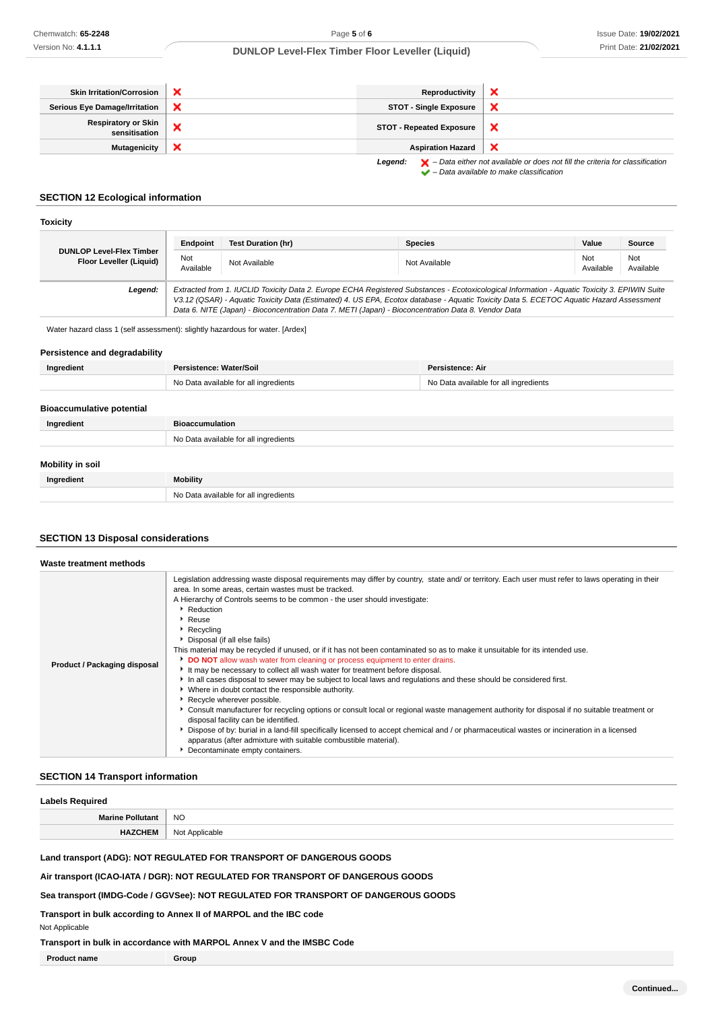| <b>Skin Irritation/Corrosion</b>            |   | Reproductivity                  |                                                                                                    |
|---------------------------------------------|---|---------------------------------|----------------------------------------------------------------------------------------------------|
| <b>Serious Eye Damage/Irritation</b>        |   | <b>STOT - Single Exposure</b>   |                                                                                                    |
| <b>Respiratory or Skin</b><br>sensitisation | ↗ | <b>STOT - Repeated Exposure</b> | ж                                                                                                  |
| Mutagenicity                                | ж | <b>Aspiration Hazard</b>        |                                                                                                    |
|                                             |   | Legend:                         | $\blacktriangleright$ - Data either not available or does not fill the criteria for classification |

 $\blacktriangleright$  – Data available to make classification

# **SECTION 12 Ecological information**

| <b>Toxicity</b>                                            |                  |                                                                                                                                                                                                                                                                                                                                                                                                 |                |                  |                  |
|------------------------------------------------------------|------------------|-------------------------------------------------------------------------------------------------------------------------------------------------------------------------------------------------------------------------------------------------------------------------------------------------------------------------------------------------------------------------------------------------|----------------|------------------|------------------|
|                                                            | Endpoint         | <b>Test Duration (hr)</b>                                                                                                                                                                                                                                                                                                                                                                       | <b>Species</b> | Value            | Source           |
| <b>DUNLOP Level-Flex Timber</b><br>Floor Leveller (Liquid) | Not<br>Available | Not Available                                                                                                                                                                                                                                                                                                                                                                                   | Not Available  | Not<br>Available | Not<br>Available |
| Legend:                                                    |                  | Extracted from 1. IUCLID Toxicity Data 2. Europe ECHA Registered Substances - Ecotoxicological Information - Aquatic Toxicity 3. EPIWIN Suite<br>V3.12 (QSAR) - Aquatic Toxicity Data (Estimated) 4. US EPA, Ecotox database - Aquatic Toxicity Data 5. ECETOC Aquatic Hazard Assessment<br>Data 6. NITE (Japan) - Bioconcentration Data 7. METI (Japan) - Bioconcentration Data 8. Vendor Data |                |                  |                  |

Water hazard class 1 (self assessment): slightly hazardous for water. [Ardex]

### **Persistence and degradability**

| Ingredient                       | Persistence: Water/Soil               | <b>Persistence: Air</b>               |
|----------------------------------|---------------------------------------|---------------------------------------|
|                                  | No Data available for all ingredients | No Data available for all ingredients |
|                                  |                                       |                                       |
| <b>Bioaccumulative potential</b> |                                       |                                       |
| Ingredient                       | <b>Bioaccumulation</b>                |                                       |
|                                  | No Data available for all ingredients |                                       |
|                                  |                                       |                                       |
| Mobility in soil                 |                                       |                                       |
| Ingredient                       | Mobility                              |                                       |
|                                  | No Data available for all ingredients |                                       |

## **SECTION 13 Disposal considerations**

| Waste treatment methods      |                                                                                                                                                                                                                                                                                                                                                                                                                                                                                                                                                                                                                                                                                                                                                                                                                                                                                                                                                                                                                                                                                                                                                                                                                                                                                                                                              |
|------------------------------|----------------------------------------------------------------------------------------------------------------------------------------------------------------------------------------------------------------------------------------------------------------------------------------------------------------------------------------------------------------------------------------------------------------------------------------------------------------------------------------------------------------------------------------------------------------------------------------------------------------------------------------------------------------------------------------------------------------------------------------------------------------------------------------------------------------------------------------------------------------------------------------------------------------------------------------------------------------------------------------------------------------------------------------------------------------------------------------------------------------------------------------------------------------------------------------------------------------------------------------------------------------------------------------------------------------------------------------------|
| Product / Packaging disposal | Legislation addressing waste disposal requirements may differ by country, state and/ or territory. Each user must refer to laws operating in their<br>area. In some areas, certain wastes must be tracked.<br>A Hierarchy of Controls seems to be common - the user should investigate:<br>Reduction<br>Reuse<br>$\blacktriangleright$ Recycling<br>Disposal (if all else fails)<br>This material may be recycled if unused, or if it has not been contaminated so as to make it unsuitable for its intended use.<br>DO NOT allow wash water from cleaning or process equipment to enter drains.<br>It may be necessary to collect all wash water for treatment before disposal.<br>In all cases disposal to sewer may be subject to local laws and regulations and these should be considered first.<br>▶ Where in doubt contact the responsible authority.<br>Recycle wherever possible.<br>▶ Consult manufacturer for recycling options or consult local or regional waste management authority for disposal if no suitable treatment or<br>disposal facility can be identified.<br>bary Dispose of by: burial in a land-fill specifically licensed to accept chemical and / or pharmaceutical wastes or incineration in a licensed<br>apparatus (after admixture with suitable combustible material).<br>Decontaminate empty containers. |

# **SECTION 14 Transport information**

| <b>Labels Required</b>  |                |
|-------------------------|----------------|
| <b>Marine Pollutant</b> | <b>NO</b>      |
| <b>HAZCHEM</b>          | Not Applicable |

**Land transport (ADG): NOT REGULATED FOR TRANSPORT OF DANGEROUS GOODS**

**Air transport (ICAO-IATA / DGR): NOT REGULATED FOR TRANSPORT OF DANGEROUS GOODS**

**Sea transport (IMDG-Code / GGVSee): NOT REGULATED FOR TRANSPORT OF DANGEROUS GOODS**

**Transport in bulk according to Annex II of MARPOL and the IBC code**

### **Transport in bulk in accordance with MARPOL Annex V and the IMSBC Code**

| <b>Product name</b> | Group |
|---------------------|-------|
|                     |       |

Not Applicable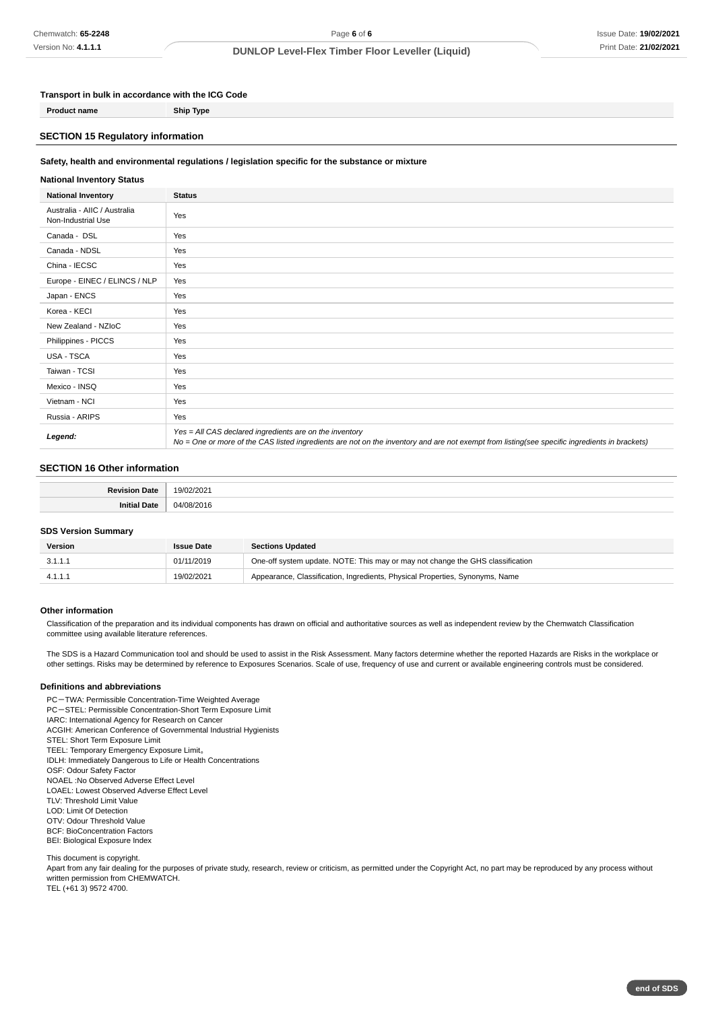### **Transport in bulk in accordance with the ICG Code**

**Product name Ship Type**

# **SECTION 15 Regulatory information**

#### **Safety, health and environmental regulations / legislation specific for the substance or mixture**

### **National Inventory Status**

| <b>National Inventory</b>                          | <b>Status</b>                                                                                                                                                                                            |
|----------------------------------------------------|----------------------------------------------------------------------------------------------------------------------------------------------------------------------------------------------------------|
| Australia - AIIC / Australia<br>Non-Industrial Use | Yes                                                                                                                                                                                                      |
| Canada - DSL                                       | Yes                                                                                                                                                                                                      |
| Canada - NDSL                                      | Yes                                                                                                                                                                                                      |
| China - IECSC                                      | Yes                                                                                                                                                                                                      |
| Europe - EINEC / ELINCS / NLP                      | Yes                                                                                                                                                                                                      |
| Japan - ENCS                                       | Yes                                                                                                                                                                                                      |
| Korea - KECI                                       | Yes                                                                                                                                                                                                      |
| New Zealand - NZIoC                                | Yes                                                                                                                                                                                                      |
| Philippines - PICCS                                | Yes                                                                                                                                                                                                      |
| USA - TSCA                                         | Yes                                                                                                                                                                                                      |
| Taiwan - TCSI                                      | Yes                                                                                                                                                                                                      |
| Mexico - INSQ                                      | Yes                                                                                                                                                                                                      |
| Vietnam - NCI                                      | Yes                                                                                                                                                                                                      |
| Russia - ARIPS                                     | Yes                                                                                                                                                                                                      |
| Legend:                                            | Yes = All CAS declared ingredients are on the inventory<br>No = One or more of the CAS listed ingredients are not on the inventory and are not exempt from listing(see specific ingredients in brackets) |

### **SECTION 16 Other information**

| . . |  |
|-----|--|
|     |  |

#### **SDS Version Summary**

| Version | <b>Issue Date</b> | <b>Sections Updated</b>                                                        |
|---------|-------------------|--------------------------------------------------------------------------------|
| 3.1.1.1 | 01/11/2019        | One-off system update. NOTE: This may or may not change the GHS classification |
|         | 19/02/2021        | Appearance, Classification, Ingredients, Physical Properties, Synonyms, Name   |

#### **Other information**

Classification of the preparation and its individual components has drawn on official and authoritative sources as well as independent review by the Chemwatch Classification committee using available literature references.

The SDS is a Hazard Communication tool and should be used to assist in the Risk Assessment. Many factors determine whether the reported Hazards are Risks in the workplace or other settings. Risks may be determined by reference to Exposures Scenarios. Scale of use, frequency of use and current or available engineering controls must be considered.

### **Definitions and abbreviations**

PC-TWA: Permissible Concentration-Time Weighted Average

- PC-STEL: Permissible Concentration-Short Term Exposure Limit
- IARC: International Agency for Research on Cancer
- ACGIH: American Conference of Governmental Industrial Hygienists
- STEL: Short Term Exposure Limit TEEL: Temporary Emergency Exposure Limit。
- IDLH: Immediately Dangerous to Life or Health Concentrations
- OSF: Odour Safety Factor
- NOAEL :No Observed Adverse Effect Level
- LOAEL: Lowest Observed Adverse Effect Level
- TLV: Threshold Limit Value

LOD: Limit Of Detection

- OTV: Odour Threshold Value
- BCF: BioConcentration Factors BEI: Biological Exposure Index

This document is copyright.

Apart from any fair dealing for the purposes of private study, research, review or criticism, as permitted under the Copyright Act, no part may be reproduced by any process without written permission from CHEMWATCH. TEL (+61 3) 9572 4700.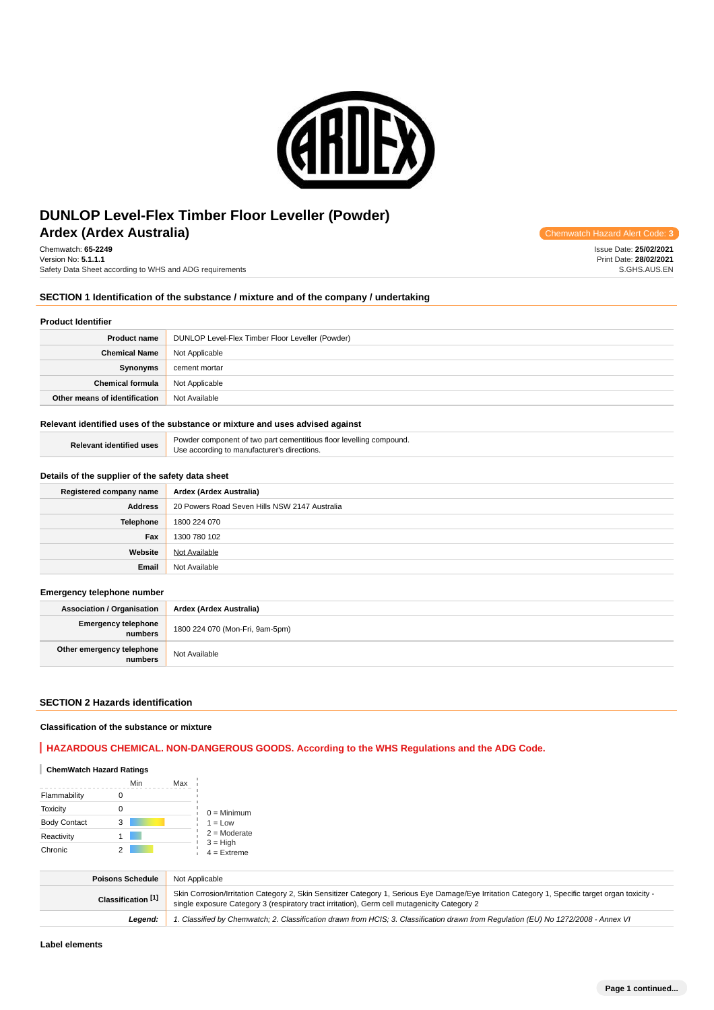

# **Ardex (Ardex Australia) Chemwatch Hazard Alert Code: 3 Chemwatch Hazard Alert Code: 3 Chemwatch Hazard Alert Code: 3 Code: 3 Chemwatch Hazard Alert Code: 3 Code: 3 Code: 3 Code: 3 Code: DUNLOP Level-Flex Timber Floor Leveller (Powder)**

Chemwatch: **65-2249** Version No: **5.1.1.1** Safety Data Sheet according to WHS and ADG requirements

## **SECTION 1 Identification of the substance / mixture and of the company / undertaking**

### **Product Identifier**

| <b>Product name</b>           | DUNLOP Level-Flex Timber Floor Leveller (Powder) |
|-------------------------------|--------------------------------------------------|
| <b>Chemical Name</b>          | Not Applicable                                   |
| Synonyms                      | cement mortar                                    |
| <b>Chemical formula</b>       | Not Applicable                                   |
| Other means of identification | Not Available                                    |

#### **Relevant identified uses of the substance or mixture and uses advised against**

| uses<br>"elevant identified u | -<br>r component of two part cementitious floor levelling compound.<br>Pow |
|-------------------------------|----------------------------------------------------------------------------|
|                               | ר manufacturer's directions.<br>Jse<br>according to                        |

# **Details of the supplier of the safety data sheet**

| Registered company name | Ardex (Ardex Australia)                       |
|-------------------------|-----------------------------------------------|
| <b>Address</b>          | 20 Powers Road Seven Hills NSW 2147 Australia |
| Telephone               | 1800 224 070                                  |
| Fax                     | 1300 780 102                                  |
| Website                 | Not Available                                 |
| Email                   | Not Available                                 |

#### **Emergency telephone number**

| <b>Association / Organisation</b>     | Ardex (Ardex Australia)         |
|---------------------------------------|---------------------------------|
| <b>Emergency telephone</b><br>numbers | 1800 224 070 (Mon-Fri, 9am-5pm) |
| Other emergency telephone<br>numbers  | Not Available                   |

# **SECTION 2 Hazards identification**

### **Classification of the substance or mixture**

# **HAZARDOUS CHEMICAL. NON-DANGEROUS GOODS. According to the WHS Regulations and the ADG Code.**

| <b>ChemWatch Hazard Ratings</b> |     |     |                             |
|---------------------------------|-----|-----|-----------------------------|
|                                 | Min | Max |                             |
| Flammability                    |     |     |                             |
| <b>Toxicity</b>                 | Ω   |     | $0 =$ Minimum               |
| <b>Body Contact</b>             | 3   |     | $1 = Low$                   |
| Reactivity                      |     |     | $2 =$ Moderate              |
| Chronic                         |     |     | $3 = High$<br>$4 =$ Extreme |

| <b>Poisons Schedule</b> | Not Applicable                                                                                                                                                                                                                                   |
|-------------------------|--------------------------------------------------------------------------------------------------------------------------------------------------------------------------------------------------------------------------------------------------|
| Classification [1]      | Skin Corrosion/Irritation Category 2, Skin Sensitizer Category 1, Serious Eye Damage/Eye Irritation Category 1, Specific target organ toxicity -<br>single exposure Category 3 (respiratory tract irritation), Germ cell mutagenicity Category 2 |
| Leaend:                 | 1. Classified by Chemwatch; 2. Classification drawn from HCIS; 3. Classification drawn from Regulation (EU) No 1272/2008 - Annex VI                                                                                                              |

Issue Date: **25/02/2021** Print Date: **28/02/2021** S.GHS.AUS.EN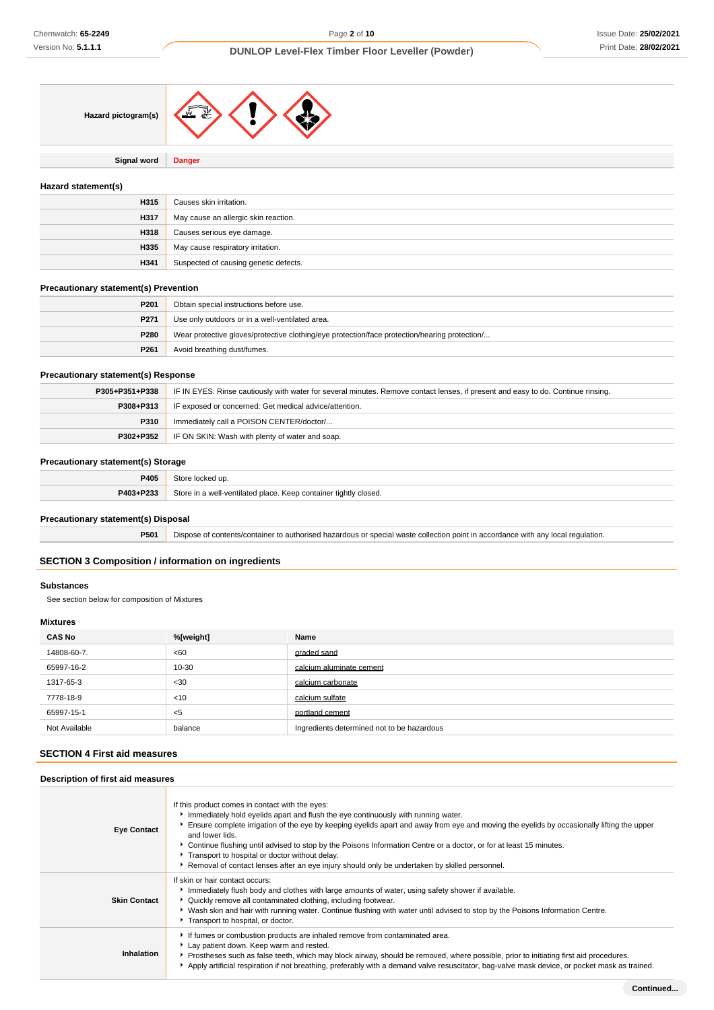

**Signal word Danger**

### **Hazard statement(s)**

| H315 | Causes skin irritation.               |
|------|---------------------------------------|
| H317 | May cause an allergic skin reaction.  |
| H318 | Causes serious eye damage.            |
| H335 | May cause respiratory irritation.     |
| H341 | Suspected of causing genetic defects. |

### **Precautionary statement(s) Prevention**

| P201 | Obtain special instructions before use.                                                       |
|------|-----------------------------------------------------------------------------------------------|
| P271 | Use only outdoors or in a well-ventilated area.                                               |
| P280 | Wear protective gloves/protective clothing/eye protection/face protection/hearing protection/ |
| P261 | Avoid breathing dust/fumes.                                                                   |

### **Precautionary statement(s) Response**

| P305+P351+P338 | IF IN EYES: Rinse cautiously with water for several minutes. Remove contact lenses, if present and easy to do. Continue rinsing. |
|----------------|----------------------------------------------------------------------------------------------------------------------------------|
| P308+P313      | IF exposed or concerned: Get medical advice/attention.                                                                           |
| <b>P310</b>    | Immediately call a POISON CENTER/doctor/                                                                                         |
|                | <b>P302+P352</b> IF ON SKIN: Wash with plenty of water and soap.                                                                 |

# **Precautionary statement(s) Storage**

| P405      | $_{\star}$                                                                    |
|-----------|-------------------------------------------------------------------------------|
| P403+P233 | Store in<br>a well-ventilated place. Keep container tightly closed.<br>.<br>. |

# **Precautionary statement(s) Disposal**

**P501** Dispose of contents/container to authorised hazardous or special waste collection point in accordance with any local regulation.

### **SECTION 3 Composition / information on ingredients**

### **Substances**

See section below for composition of Mixtures

#### **Mixtures**

| <b>CAS No</b> | %[weight] | Name                                       |  |
|---------------|-----------|--------------------------------------------|--|
| 14808-60-7.   | <60       | graded sand                                |  |
| 65997-16-2    | 10-30     | calcium aluminate cement                   |  |
| 1317-65-3     | $30$      | calcium carbonate                          |  |
| 7778-18-9     | $<$ 10    | calcium sulfate                            |  |
| 65997-15-1    | $<$ 5     | portland cement                            |  |
| Not Available | balance   | Ingredients determined not to be hazardous |  |

# **SECTION 4 First aid measures**

# **Description of first aid measures**

| <b>Eye Contact</b>  | If this product comes in contact with the eyes:<br>Immediately hold eyelids apart and flush the eye continuously with running water.<br>Ensure complete irrigation of the eye by keeping eyelids apart and away from eye and moving the eyelids by occasionally lifting the upper<br>and lower lids.<br>▶ Continue flushing until advised to stop by the Poisons Information Centre or a doctor, or for at least 15 minutes.<br>Transport to hospital or doctor without delay.<br>► Removal of contact lenses after an eye injury should only be undertaken by skilled personnel. |
|---------------------|-----------------------------------------------------------------------------------------------------------------------------------------------------------------------------------------------------------------------------------------------------------------------------------------------------------------------------------------------------------------------------------------------------------------------------------------------------------------------------------------------------------------------------------------------------------------------------------|
| <b>Skin Contact</b> | If skin or hair contact occurs:<br>Immediately flush body and clothes with large amounts of water, using safety shower if available.<br>• Quickly remove all contaminated clothing, including footwear.<br>▶ Wash skin and hair with running water. Continue flushing with water until advised to stop by the Poisons Information Centre.<br>Transport to hospital, or doctor.                                                                                                                                                                                                    |
| Inhalation          | If fumes or combustion products are inhaled remove from contaminated area.<br>Lay patient down. Keep warm and rested.<br>▶ Prostheses such as false teeth, which may block airway, should be removed, where possible, prior to initiating first aid procedures.<br>Apply artificial respiration if not breathing, preferably with a demand valve resuscitator, bag-valve mask device, or pocket mask as trained.                                                                                                                                                                  |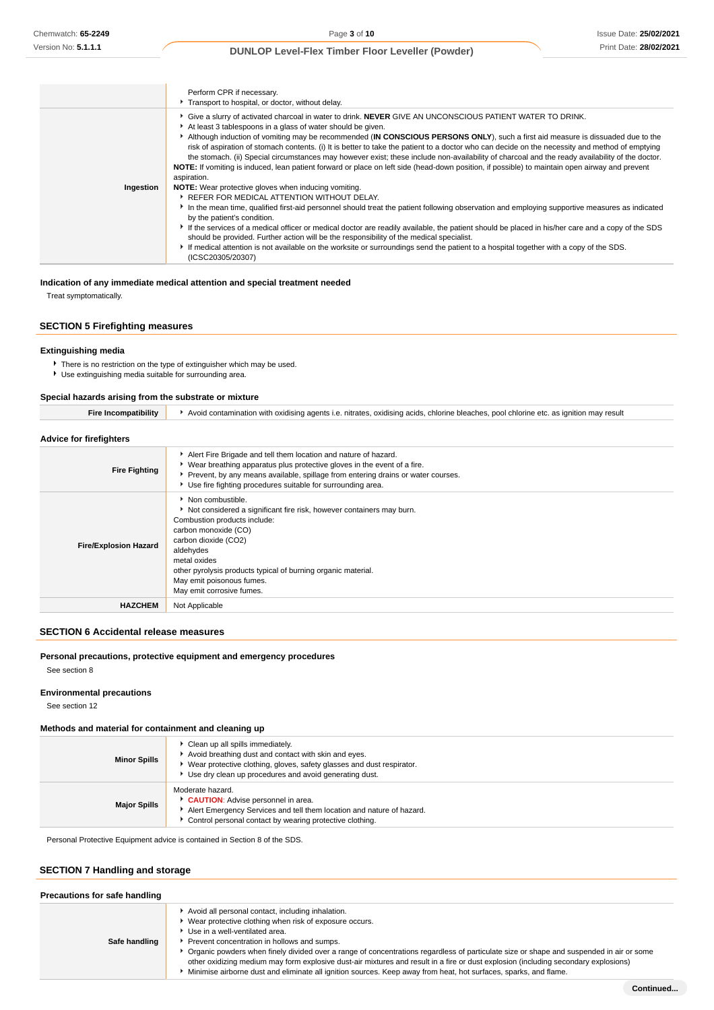|           | Perform CPR if necessary.                                                                                                                                                                                                                                                                                                                                                                                                                                                                                                                                                                                                                                                                                                                                                         |
|-----------|-----------------------------------------------------------------------------------------------------------------------------------------------------------------------------------------------------------------------------------------------------------------------------------------------------------------------------------------------------------------------------------------------------------------------------------------------------------------------------------------------------------------------------------------------------------------------------------------------------------------------------------------------------------------------------------------------------------------------------------------------------------------------------------|
|           | Transport to hospital, or doctor, without delay.                                                                                                                                                                                                                                                                                                                                                                                                                                                                                                                                                                                                                                                                                                                                  |
|           | Give a slurry of activated charcoal in water to drink. NEVER GIVE AN UNCONSCIOUS PATIENT WATER TO DRINK.<br>At least 3 tablespoons in a glass of water should be given.<br>Although induction of vomiting may be recommended (IN CONSCIOUS PERSONS ONLY), such a first aid measure is dissuaded due to the<br>risk of aspiration of stomach contents. (i) It is better to take the patient to a doctor who can decide on the necessity and method of emptying<br>the stomach. (ii) Special circumstances may however exist; these include non-availability of charcoal and the ready availability of the doctor.<br>NOTE: If vomiting is induced, lean patient forward or place on left side (head-down position, if possible) to maintain open airway and prevent<br>aspiration. |
| Ingestion | <b>NOTE:</b> Wear protective gloves when inducing vomiting.                                                                                                                                                                                                                                                                                                                                                                                                                                                                                                                                                                                                                                                                                                                       |
|           | ▶ REFER FOR MEDICAL ATTENTION WITHOUT DELAY.                                                                                                                                                                                                                                                                                                                                                                                                                                                                                                                                                                                                                                                                                                                                      |
|           | In the mean time, qualified first-aid personnel should treat the patient following observation and employing supportive measures as indicated<br>by the patient's condition.                                                                                                                                                                                                                                                                                                                                                                                                                                                                                                                                                                                                      |
|           | If the services of a medical officer or medical doctor are readily available, the patient should be placed in his/her care and a copy of the SDS<br>should be provided. Further action will be the responsibility of the medical specialist.                                                                                                                                                                                                                                                                                                                                                                                                                                                                                                                                      |
|           | If medical attention is not available on the worksite or surroundings send the patient to a hospital together with a copy of the SDS.<br>(ICSC20305/20307)                                                                                                                                                                                                                                                                                                                                                                                                                                                                                                                                                                                                                        |

**Indication of any immediate medical attention and special treatment needed**

Treat symptomatically.

### **SECTION 5 Firefighting measures**

### **Extinguishing media**

- There is no restriction on the type of extinguisher which may be used.
- Use extinguishing media suitable for surrounding area.

#### **Special hazards arising from the substrate or mixture**

| <b>Advice for firefighters</b> |                                                                                                                                                                                                                                                                                                                                    |
|--------------------------------|------------------------------------------------------------------------------------------------------------------------------------------------------------------------------------------------------------------------------------------------------------------------------------------------------------------------------------|
| <b>Fire Fighting</b>           | Alert Fire Brigade and tell them location and nature of hazard.<br>▶ Wear breathing apparatus plus protective gloves in the event of a fire.<br>▶ Prevent, by any means available, spillage from entering drains or water courses.<br>Use fire fighting procedures suitable for surrounding area.                                  |
| <b>Fire/Explosion Hazard</b>   | • Non combustible.<br>Not considered a significant fire risk, however containers may burn.<br>Combustion products include:<br>carbon monoxide (CO)<br>carbon dioxide (CO2)<br>aldehydes<br>metal oxides<br>other pyrolysis products typical of burning organic material.<br>May emit poisonous fumes.<br>May emit corrosive fumes. |
| <b>HAZCHEM</b>                 | Not Applicable                                                                                                                                                                                                                                                                                                                     |

Fire Incompatibility **A**void contamination with oxidising agents i.e. nitrates, oxidising acids, chlorine bleaches, pool chlorine etc. as ignition may result

# **SECTION 6 Accidental release measures**

### **Personal precautions, protective equipment and emergency procedures**

See section 8

### **Environmental precautions**

See section 12

# **Methods and material for containment and cleaning up**

| <b>Minor Spills</b> | Clean up all spills immediately.<br>Avoid breathing dust and contact with skin and eyes.<br>Wear protective clothing, gloves, safety glasses and dust respirator.<br>Use dry clean up procedures and avoid generating dust. |  |  |  |
|---------------------|-----------------------------------------------------------------------------------------------------------------------------------------------------------------------------------------------------------------------------|--|--|--|
| <b>Major Spills</b> | Moderate hazard.<br><b>CAUTION:</b> Advise personnel in area.<br>Alert Emergency Services and tell them location and nature of hazard.<br>Control personal contact by wearing protective clothing.                          |  |  |  |

Personal Protective Equipment advice is contained in Section 8 of the SDS.

# **SECTION 7 Handling and storage**

| Precautions for safe handling |                                                                                                                                                                                                                                                                                                                                                                                                                                                                                                                                                                                                    |
|-------------------------------|----------------------------------------------------------------------------------------------------------------------------------------------------------------------------------------------------------------------------------------------------------------------------------------------------------------------------------------------------------------------------------------------------------------------------------------------------------------------------------------------------------------------------------------------------------------------------------------------------|
| Safe handling                 | Avoid all personal contact, including inhalation.<br>Wear protective clothing when risk of exposure occurs.<br>Use in a well-ventilated area.<br>Prevent concentration in hollows and sumps.<br>Organic powders when finely divided over a range of concentrations regardless of particulate size or shape and suspended in air or some<br>other oxidizing medium may form explosive dust-air mixtures and result in a fire or dust explosion (including secondary explosions)<br>Minimise airborne dust and eliminate all ignition sources. Keep away from heat, hot surfaces, sparks, and flame. |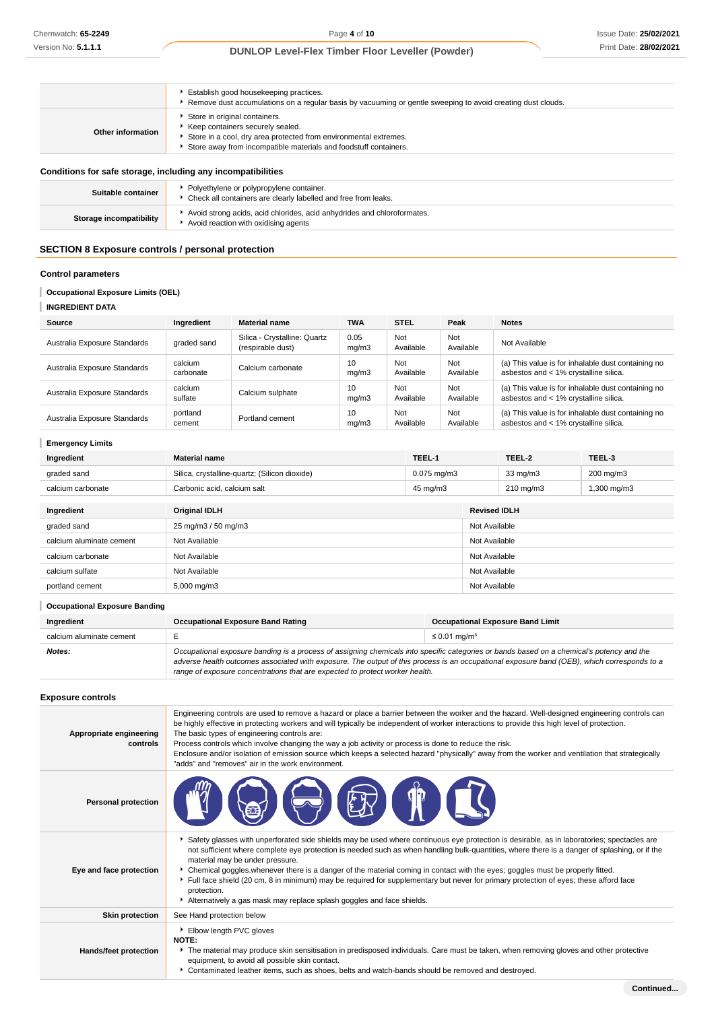|                                                              | Establish good housekeeping practices.<br>Remove dust accumulations on a regular basis by vacuuming or gentle sweeping to avoid creating dust clouds.                                                     |  |
|--------------------------------------------------------------|-----------------------------------------------------------------------------------------------------------------------------------------------------------------------------------------------------------|--|
| Other information                                            | Store in original containers.<br>Keep containers securely sealed.<br>Store in a cool, dry area protected from environmental extremes.<br>Store away from incompatible materials and foodstuff containers. |  |
| Conditions for safe storage, including any incompatibilities |                                                                                                                                                                                                           |  |
| Suitable container                                           | • Polyethylene or polypropylene container.<br>• Check all containers are clearly labelled and free from leaks.                                                                                            |  |
| Storage incompatibility                                      | Avoid strong acids, acid chlorides, acid anhydrides and chloroformates.<br>Avoid reaction with oxidising agents                                                                                           |  |

# **SECTION 8 Exposure controls / personal protection**

# **Control parameters**

### **Occupational Exposure Limits (OEL)**

| <b>INGREDIENT DATA</b> |
|------------------------|
|                        |

**Emergency Limits**

| Source                       | Inaredient           | <b>Material name</b>                              | <b>TWA</b>    | <b>STEL</b>      | Peak             | <b>Notes</b>                                                                                |
|------------------------------|----------------------|---------------------------------------------------|---------------|------------------|------------------|---------------------------------------------------------------------------------------------|
| Australia Exposure Standards | graded sand          | Silica - Crystalline: Quartz<br>(respirable dust) | 0.05<br>mq/m3 | Not<br>Available | Not<br>Available | Not Available                                                                               |
| Australia Exposure Standards | calcium<br>carbonate | Calcium carbonate                                 | 10<br>mq/m3   | Not<br>Available | Not<br>Available | (a) This value is for inhalable dust containing no<br>asbestos and < 1% crystalline silica. |
| Australia Exposure Standards | calcium<br>sulfate   | Calcium sulphate                                  | 10<br>mq/m3   | Not<br>Available | Not<br>Available | (a) This value is for inhalable dust containing no<br>asbestos and < 1% crystalline silica. |
| Australia Exposure Standards | portland<br>cement   | Portland cement                                   | 10<br>mq/m3   | Not<br>Available | Not<br>Available | (a) This value is for inhalable dust containing no<br>asbestos and < 1% crystalline silica. |

| Ingredient        | <b>Material name</b>                          | TEEL-1        | TEEL-2            | TEEL-3     |
|-------------------|-----------------------------------------------|---------------|-------------------|------------|
| graded sand       | Silica, crystalline-quartz; (Silicon dioxide) | $0.075$ ma/m3 | $33 \text{ ma/m}$ | 200 mg/m3  |
| calcium carbonate | Carbonic acid, calcium salt                   | 45 mg/m3      | 210 mg/m3         | ,300 mg/m3 |

| Ingredient               | <b>Original IDLH</b> | <b>Revised IDLH</b> |
|--------------------------|----------------------|---------------------|
| graded sand              | 25 mg/m3 / 50 mg/m3  | Not Available       |
| calcium aluminate cement | Not Available        | Not Available       |
| calcium carbonate        | Not Available        | Not Available       |
| calcium sulfate          | Not Available        | Not Available       |
| portland cement          | 5,000 mg/m3          | Not Available       |

| <b>Occupational Exposure Banding</b> |                                                                                                                                                                                                                                                                                                                                                                          |                                         |  |  |  |
|--------------------------------------|--------------------------------------------------------------------------------------------------------------------------------------------------------------------------------------------------------------------------------------------------------------------------------------------------------------------------------------------------------------------------|-----------------------------------------|--|--|--|
| Ingredient                           | <b>Occupational Exposure Band Rating</b>                                                                                                                                                                                                                                                                                                                                 | <b>Occupational Exposure Band Limit</b> |  |  |  |
| calcium aluminate cement             |                                                                                                                                                                                                                                                                                                                                                                          | $\leq$ 0.01 mg/m <sup>3</sup>           |  |  |  |
| Notes:                               | Occupational exposure banding is a process of assigning chemicals into specific categories or bands based on a chemical's potency and the<br>adverse health outcomes associated with exposure. The output of this process is an occupational exposure band (OEB), which corresponds to a<br>range of exposure concentrations that are expected to protect worker health. |                                         |  |  |  |

# **Exposure controls**

| Appropriate engineering<br>controls | Engineering controls are used to remove a hazard or place a barrier between the worker and the hazard. Well-designed engineering controls can<br>be highly effective in protecting workers and will typically be independent of worker interactions to provide this high level of protection.<br>The basic types of engineering controls are:<br>Process controls which involve changing the way a job activity or process is done to reduce the risk.<br>Enclosure and/or isolation of emission source which keeps a selected hazard "physically" away from the worker and ventilation that strategically<br>"adds" and "removes" air in the work environment.                                     |
|-------------------------------------|-----------------------------------------------------------------------------------------------------------------------------------------------------------------------------------------------------------------------------------------------------------------------------------------------------------------------------------------------------------------------------------------------------------------------------------------------------------------------------------------------------------------------------------------------------------------------------------------------------------------------------------------------------------------------------------------------------|
| <b>Personal protection</b>          |                                                                                                                                                                                                                                                                                                                                                                                                                                                                                                                                                                                                                                                                                                     |
| Eye and face protection             | ▶ Safety glasses with unperforated side shields may be used where continuous eye protection is desirable, as in laboratories; spectacles are<br>not sufficient where complete eye protection is needed such as when handling bulk-quantities, where there is a danger of splashing, or if the<br>material may be under pressure.<br>► Chemical goggles whenever there is a danger of the material coming in contact with the eyes; goggles must be properly fitted.<br>Full face shield (20 cm, 8 in minimum) may be required for supplementary but never for primary protection of eyes; these afford face<br>protection.<br>Alternatively a gas mask may replace splash goggles and face shields. |
| <b>Skin protection</b>              | See Hand protection below                                                                                                                                                                                                                                                                                                                                                                                                                                                                                                                                                                                                                                                                           |
| Hands/feet protection               | Elbow length PVC gloves<br>NOTE:<br>The material may produce skin sensitisation in predisposed individuals. Care must be taken, when removing gloves and other protective<br>equipment, to avoid all possible skin contact.<br>▶ Contaminated leather items, such as shoes, belts and watch-bands should be removed and destroyed.                                                                                                                                                                                                                                                                                                                                                                  |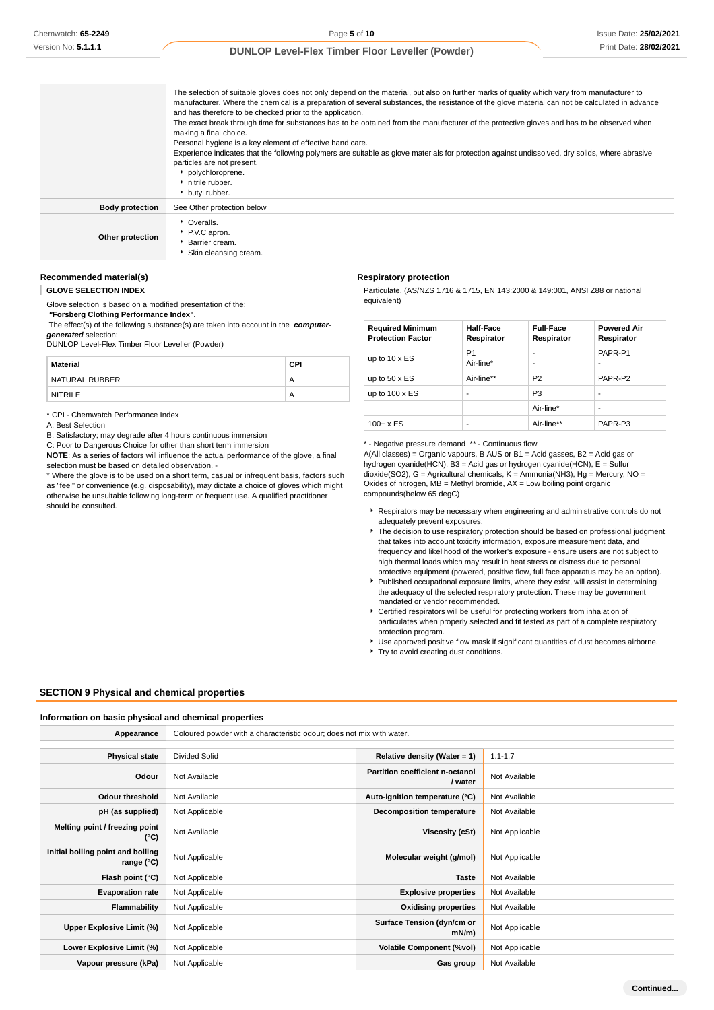|                        | The selection of suitable gloves does not only depend on the material, but also on further marks of quality which vary from manufacturer to<br>manufacturer. Where the chemical is a preparation of several substances, the resistance of the glove material can not be calculated in advance<br>and has therefore to be checked prior to the application.<br>The exact break through time for substances has to be obtained from the manufacturer of the protective gloves and has to be observed when<br>making a final choice.<br>Personal hygiene is a key element of effective hand care.<br>Experience indicates that the following polymers are suitable as glove materials for protection against undissolved, dry solids, where abrasive<br>particles are not present.<br>polychloroprene.<br>h nitrile rubber.<br>butyl rubber. |
|------------------------|-------------------------------------------------------------------------------------------------------------------------------------------------------------------------------------------------------------------------------------------------------------------------------------------------------------------------------------------------------------------------------------------------------------------------------------------------------------------------------------------------------------------------------------------------------------------------------------------------------------------------------------------------------------------------------------------------------------------------------------------------------------------------------------------------------------------------------------------|
| <b>Body protection</b> | See Other protection below                                                                                                                                                                                                                                                                                                                                                                                                                                                                                                                                                                                                                                                                                                                                                                                                                |
| Other protection       | • Overalls.<br>P.V.C apron.<br>Barrier cream.<br>Skin cleansing cream.                                                                                                                                                                                                                                                                                                                                                                                                                                                                                                                                                                                                                                                                                                                                                                    |

#### **Recommended material(s)**

**GLOVE SELECTION INDEX**

Glove selection is based on a modified presentation of the:

 **"Forsberg Clothing Performance Index".** The effect(s) of the following substance(s) are taken into account in the **computer-**

**generated** selection: DUNLOP Level-Flex Timber Floor Leveller (Powder)

| Material       | CPI |
|----------------|-----|
| NATURAL RUBBER | Α   |
| <b>NITRILE</b> | Α   |

\* CPI - Chemwatch Performance Index

A: Best Selection

should be consulted.

B: Satisfactory; may degrade after 4 hours continuous immersion

C: Poor to Dangerous Choice for other than short term immersion

**NOTE**: As a series of factors will influence the actual performance of the glove, a final selection must be based on detailed observation. -

\* Where the glove is to be used on a short term, casual or infrequent basis, factors such as "feel" or convenience (e.g. disposability), may dictate a choice of gloves which might otherwise be unsuitable following long-term or frequent use. A qualified practitioner

### **Respiratory protection**

Particulate. (AS/NZS 1716 & 1715, EN 143:2000 & 149:001, ANSI Z88 or national equivalent)

| <b>Required Minimum</b><br><b>Protection Factor</b> | <b>Half-Face</b><br>Respirator | <b>Full-Face</b><br>Respirator | <b>Powered Air</b><br>Respirator |
|-----------------------------------------------------|--------------------------------|--------------------------------|----------------------------------|
| up to $10 \times ES$                                | P <sub>1</sub><br>Air-line*    | -<br>-                         | PAPR-P1<br>-                     |
| up to $50 \times ES$                                | Air-line**                     | P <sub>2</sub>                 | PAPR-P2                          |
| up to $100 \times ES$                               | -                              | P <sub>3</sub>                 | -                                |
|                                                     |                                | Air-line*                      | -                                |
| $100 + x ES$                                        | -                              | Air-line**                     | PAPR-P3                          |

\* - Negative pressure demand \*\* - Continuous flow

A(All classes) = Organic vapours, B AUS or B1 = Acid gasses, B2 = Acid gas or hydrogen cyanide(HCN), B3 = Acid gas or hydrogen cyanide(HCN), E = Sulfur dioxide(SO2), G = Agricultural chemicals, K = Ammonia(NH3), Hg = Mercury, NO = Oxides of nitrogen,  $MB =$  Methyl bromide,  $AX =$  Low boiling point organic compounds(below 65 degC)

- Respirators may be necessary when engineering and administrative controls do not adequately prevent exposures.
- The decision to use respiratory protection should be based on professional judgment that takes into account toxicity information, exposure measurement data, and frequency and likelihood of the worker's exposure - ensure users are not subject to high thermal loads which may result in heat stress or distress due to personal protective equipment (powered, positive flow, full face apparatus may be an option).
- Published occupational exposure limits, where they exist, will assist in determining the adequacy of the selected respiratory protection. These may be government mandated or vendor recommended.
- Certified respirators will be useful for protecting workers from inhalation of particulates when properly selected and fit tested as part of a complete respiratory protection program.
- Use approved positive flow mask if significant quantities of dust becomes airborne.
- **F** Try to avoid creating dust conditions.

### **SECTION 9 Physical and chemical properties**

### **Information on basic physical and chemical properties**

| Appearance                                      | Coloured powder with a characteristic odour; does not mix with water. |                                            |                |  |
|-------------------------------------------------|-----------------------------------------------------------------------|--------------------------------------------|----------------|--|
|                                                 |                                                                       |                                            |                |  |
| <b>Physical state</b>                           | <b>Divided Solid</b>                                                  | Relative density (Water = $1$ )            | $1.1 - 1.7$    |  |
| Odour                                           | Not Available                                                         | Partition coefficient n-octanol<br>/ water | Not Available  |  |
| <b>Odour threshold</b>                          | Not Available                                                         | Auto-ignition temperature (°C)             | Not Available  |  |
| pH (as supplied)                                | Not Applicable                                                        | <b>Decomposition temperature</b>           | Not Available  |  |
| Melting point / freezing point<br>(°C)          | Not Available                                                         | Viscosity (cSt)                            | Not Applicable |  |
| Initial boiling point and boiling<br>range (°C) | Not Applicable                                                        | Molecular weight (g/mol)                   | Not Applicable |  |
| Flash point (°C)                                | Not Applicable                                                        | <b>Taste</b>                               | Not Available  |  |
| <b>Evaporation rate</b>                         | Not Applicable                                                        | <b>Explosive properties</b>                | Not Available  |  |
| Flammability                                    | Not Applicable                                                        | <b>Oxidising properties</b>                | Not Available  |  |
| Upper Explosive Limit (%)                       | Not Applicable                                                        | Surface Tension (dyn/cm or<br>mN/m         | Not Applicable |  |
| Lower Explosive Limit (%)                       | Not Applicable                                                        | <b>Volatile Component (%vol)</b>           | Not Applicable |  |
| Vapour pressure (kPa)                           | Not Applicable                                                        | Gas group                                  | Not Available  |  |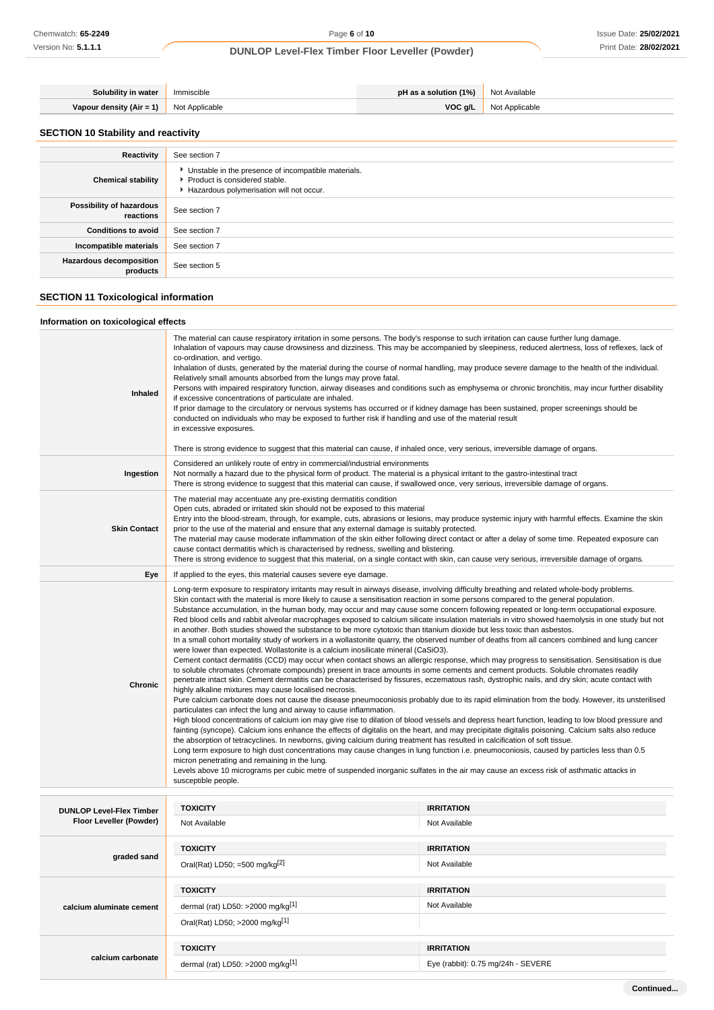| Solubility in water      | Immiscible     | pH as a solution $(1%)$ | Not Available  |
|--------------------------|----------------|-------------------------|----------------|
| Vapour density (Air = 1) | Not Applicable | VOCg/L                  | Not Applicable |

# **SECTION 10 Stability and reactivity**

| Reactivity                                 | See section 7                                                                                                                    |
|--------------------------------------------|----------------------------------------------------------------------------------------------------------------------------------|
| <b>Chemical stability</b>                  | Unstable in the presence of incompatible materials.<br>Product is considered stable.<br>Hazardous polymerisation will not occur. |
| Possibility of hazardous<br>reactions      | See section 7                                                                                                                    |
| <b>Conditions to avoid</b>                 | See section 7                                                                                                                    |
| Incompatible materials                     | See section 7                                                                                                                    |
| <b>Hazardous decomposition</b><br>products | See section 5                                                                                                                    |

# **SECTION 11 Toxicological information**

# **Information on toxicological effects**

| Inhaled             | The material can cause respiratory irritation in some persons. The body's response to such irritation can cause further lung damage.<br>Inhalation of vapours may cause drowsiness and dizziness. This may be accompanied by sleepiness, reduced alertness, loss of reflexes, lack of<br>co-ordination, and vertigo.<br>Inhalation of dusts, generated by the material during the course of normal handling, may produce severe damage to the health of the individual.<br>Relatively small amounts absorbed from the lungs may prove fatal.<br>Persons with impaired respiratory function, airway diseases and conditions such as emphysema or chronic bronchitis, may incur further disability<br>if excessive concentrations of particulate are inhaled.<br>If prior damage to the circulatory or nervous systems has occurred or if kidney damage has been sustained, proper screenings should be<br>conducted on individuals who may be exposed to further risk if handling and use of the material result<br>in excessive exposures.<br>There is strong evidence to suggest that this material can cause, if inhaled once, very serious, irreversible damage of organs.                                                                                                                                                                                                                                                                                                                                                                                                                                                                                                                                                                                                                                                                                                                                                                                                                                                                                                                                                                                                                                                                                                                                                                                                                                                                                                      |
|---------------------|------------------------------------------------------------------------------------------------------------------------------------------------------------------------------------------------------------------------------------------------------------------------------------------------------------------------------------------------------------------------------------------------------------------------------------------------------------------------------------------------------------------------------------------------------------------------------------------------------------------------------------------------------------------------------------------------------------------------------------------------------------------------------------------------------------------------------------------------------------------------------------------------------------------------------------------------------------------------------------------------------------------------------------------------------------------------------------------------------------------------------------------------------------------------------------------------------------------------------------------------------------------------------------------------------------------------------------------------------------------------------------------------------------------------------------------------------------------------------------------------------------------------------------------------------------------------------------------------------------------------------------------------------------------------------------------------------------------------------------------------------------------------------------------------------------------------------------------------------------------------------------------------------------------------------------------------------------------------------------------------------------------------------------------------------------------------------------------------------------------------------------------------------------------------------------------------------------------------------------------------------------------------------------------------------------------------------------------------------------------------------------------------------------------------------------------------------------------------------------|
| Ingestion           | Considered an unlikely route of entry in commercial/industrial environments<br>Not normally a hazard due to the physical form of product. The material is a physical irritant to the gastro-intestinal tract<br>There is strong evidence to suggest that this material can cause, if swallowed once, very serious, irreversible damage of organs.                                                                                                                                                                                                                                                                                                                                                                                                                                                                                                                                                                                                                                                                                                                                                                                                                                                                                                                                                                                                                                                                                                                                                                                                                                                                                                                                                                                                                                                                                                                                                                                                                                                                                                                                                                                                                                                                                                                                                                                                                                                                                                                                  |
| <b>Skin Contact</b> | The material may accentuate any pre-existing dermatitis condition<br>Open cuts, abraded or irritated skin should not be exposed to this material<br>Entry into the blood-stream, through, for example, cuts, abrasions or lesions, may produce systemic injury with harmful effects. Examine the skin<br>prior to the use of the material and ensure that any external damage is suitably protected.<br>The material may cause moderate inflammation of the skin either following direct contact or after a delay of some time. Repeated exposure can<br>cause contact dermatitis which is characterised by redness, swelling and blistering.<br>There is strong evidence to suggest that this material, on a single contact with skin, can cause very serious, irreversible damage of organs.                                                                                                                                                                                                                                                                                                                                                                                                                                                                                                                                                                                                                                                                                                                                                                                                                                                                                                                                                                                                                                                                                                                                                                                                                                                                                                                                                                                                                                                                                                                                                                                                                                                                                     |
| Eye                 | If applied to the eyes, this material causes severe eye damage.                                                                                                                                                                                                                                                                                                                                                                                                                                                                                                                                                                                                                                                                                                                                                                                                                                                                                                                                                                                                                                                                                                                                                                                                                                                                                                                                                                                                                                                                                                                                                                                                                                                                                                                                                                                                                                                                                                                                                                                                                                                                                                                                                                                                                                                                                                                                                                                                                    |
| <b>Chronic</b>      | Long-term exposure to respiratory irritants may result in airways disease, involving difficulty breathing and related whole-body problems.<br>Skin contact with the material is more likely to cause a sensitisation reaction in some persons compared to the general population.<br>Substance accumulation, in the human body, may occur and may cause some concern following repeated or long-term occupational exposure.<br>Red blood cells and rabbit alveolar macrophages exposed to calcium silicate insulation materials in vitro showed haemolysis in one study but not<br>in another. Both studies showed the substance to be more cytotoxic than titanium dioxide but less toxic than asbestos.<br>In a small cohort mortality study of workers in a wollastonite quarry, the observed number of deaths from all cancers combined and lung cancer<br>were lower than expected. Wollastonite is a calcium inosilicate mineral (CaSiO3).<br>Cement contact dermatitis (CCD) may occur when contact shows an allergic response, which may progress to sensitisation. Sensitisation is due<br>to soluble chromates (chromate compounds) present in trace amounts in some cements and cement products. Soluble chromates readily<br>penetrate intact skin. Cement dermatitis can be characterised by fissures, eczematous rash, dystrophic nails, and dry skin; acute contact with<br>highly alkaline mixtures may cause localised necrosis.<br>Pure calcium carbonate does not cause the disease pneumoconiosis probably due to its rapid elimination from the body. However, its unsterilised<br>particulates can infect the lung and airway to cause inflammation.<br>High blood concentrations of calcium ion may give rise to dilation of blood vessels and depress heart function, leading to low blood pressure and<br>fainting (syncope). Calcium ions enhance the effects of digitalis on the heart, and may precipitate digitalis poisoning. Calcium salts also reduce<br>the absorption of tetracyclines. In newborns, giving calcium during treatment has resulted in calcification of soft tissue.<br>Long term exposure to high dust concentrations may cause changes in lung function i.e. pneumoconiosis, caused by particles less than 0.5<br>micron penetrating and remaining in the lung.<br>Levels above 10 micrograms per cubic metre of suspended inorganic sulfates in the air may cause an excess risk of asthmatic attacks in<br>susceptible people. |

| <b>DUNLOP Level-Flex Timber</b><br>Floor Leveller (Powder) | <b>TOXICITY</b>                                 | <b>IRRITATION</b>                  |
|------------------------------------------------------------|-------------------------------------------------|------------------------------------|
|                                                            | Not Available                                   | Not Available                      |
|                                                            | <b>TOXICITY</b>                                 | <b>IRRITATION</b>                  |
| graded sand                                                |                                                 |                                    |
|                                                            | Oral(Rat) LD50; =500 mg/kg $[2]$                | Not Available                      |
|                                                            |                                                 |                                    |
|                                                            | <b>TOXICITY</b>                                 | <b>IRRITATION</b>                  |
| calcium aluminate cement                                   | dermal (rat) LD50: $>2000$ mg/kg <sup>[1]</sup> | Not Available                      |
|                                                            | Oral(Rat) LD50; >2000 mg/kg[1]                  |                                    |
|                                                            |                                                 |                                    |
|                                                            | <b>TOXICITY</b>                                 | <b>IRRITATION</b>                  |
| calcium carbonate                                          | dermal (rat) LD50: >2000 mg/kg $[1]$            | Eye (rabbit): 0.75 mg/24h - SEVERE |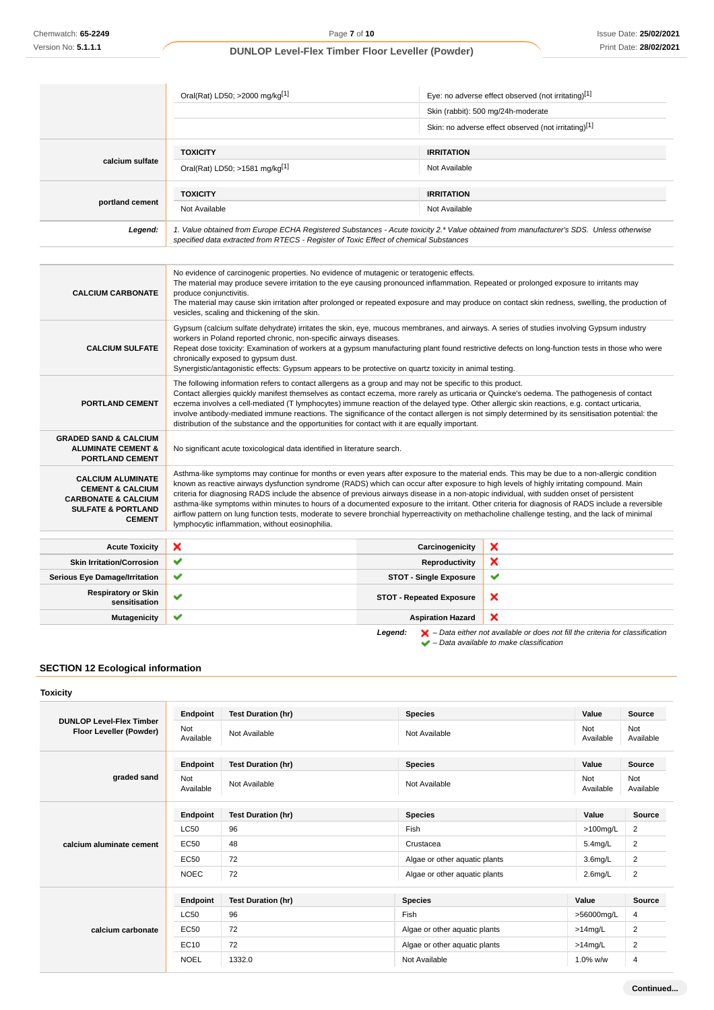|                                                                                                                                             | Oral(Rat) LD50; >2000 mg/kg[1]                                                                                                                                                                                                                                                                                                                                                                                                                                                                                                                                                                                                                                                                                                                                                               |                                 | Eye: no adverse effect observed (not irritating)[1]                                                                                                                 |  |
|---------------------------------------------------------------------------------------------------------------------------------------------|----------------------------------------------------------------------------------------------------------------------------------------------------------------------------------------------------------------------------------------------------------------------------------------------------------------------------------------------------------------------------------------------------------------------------------------------------------------------------------------------------------------------------------------------------------------------------------------------------------------------------------------------------------------------------------------------------------------------------------------------------------------------------------------------|---------------------------------|---------------------------------------------------------------------------------------------------------------------------------------------------------------------|--|
|                                                                                                                                             |                                                                                                                                                                                                                                                                                                                                                                                                                                                                                                                                                                                                                                                                                                                                                                                              |                                 | Skin (rabbit): 500 mg/24h-moderate                                                                                                                                  |  |
|                                                                                                                                             |                                                                                                                                                                                                                                                                                                                                                                                                                                                                                                                                                                                                                                                                                                                                                                                              |                                 | Skin: no adverse effect observed (not irritating)[1]                                                                                                                |  |
|                                                                                                                                             | <b>TOXICITY</b>                                                                                                                                                                                                                                                                                                                                                                                                                                                                                                                                                                                                                                                                                                                                                                              | <b>IRRITATION</b>               |                                                                                                                                                                     |  |
| calcium sulfate                                                                                                                             | Oral(Rat) LD50; >1581 mg/kg[1]                                                                                                                                                                                                                                                                                                                                                                                                                                                                                                                                                                                                                                                                                                                                                               | Not Available                   |                                                                                                                                                                     |  |
|                                                                                                                                             | <b>TOXICITY</b>                                                                                                                                                                                                                                                                                                                                                                                                                                                                                                                                                                                                                                                                                                                                                                              | <b>IRRITATION</b>               |                                                                                                                                                                     |  |
| portland cement                                                                                                                             | Not Available                                                                                                                                                                                                                                                                                                                                                                                                                                                                                                                                                                                                                                                                                                                                                                                | Not Available                   |                                                                                                                                                                     |  |
| Legend:                                                                                                                                     | 1. Value obtained from Europe ECHA Registered Substances - Acute toxicity 2.* Value obtained from manufacturer's SDS. Unless otherwise<br>specified data extracted from RTECS - Register of Toxic Effect of chemical Substances                                                                                                                                                                                                                                                                                                                                                                                                                                                                                                                                                              |                                 |                                                                                                                                                                     |  |
|                                                                                                                                             |                                                                                                                                                                                                                                                                                                                                                                                                                                                                                                                                                                                                                                                                                                                                                                                              |                                 |                                                                                                                                                                     |  |
| <b>CALCIUM CARBONATE</b>                                                                                                                    | No evidence of carcinogenic properties. No evidence of mutagenic or teratogenic effects.<br>The material may produce severe irritation to the eye causing pronounced inflammation. Repeated or prolonged exposure to irritants may<br>produce conjunctivitis.<br>vesicles, scaling and thickening of the skin.                                                                                                                                                                                                                                                                                                                                                                                                                                                                               |                                 | The material may cause skin irritation after prolonged or repeated exposure and may produce on contact skin redness, swelling, the production of                    |  |
| <b>CALCIUM SULFATE</b>                                                                                                                      | Gypsum (calcium sulfate dehydrate) irritates the skin, eye, mucous membranes, and airways. A series of studies involving Gypsum industry<br>workers in Poland reported chronic, non-specific airways diseases.<br>Repeat dose toxicity: Examination of workers at a gypsum manufacturing plant found restrictive defects on long-function tests in those who were<br>chronically exposed to gypsum dust.<br>Synergistic/antagonistic effects: Gypsum appears to be protective on quartz toxicity in animal testing.                                                                                                                                                                                                                                                                          |                                 |                                                                                                                                                                     |  |
| <b>PORTLAND CEMENT</b>                                                                                                                      | The following information refers to contact allergens as a group and may not be specific to this product.<br>Contact allergies quickly manifest themselves as contact eczema, more rarely as urticaria or Quincke's oedema. The pathogenesis of contact<br>eczema involves a cell-mediated (T lymphocytes) immune reaction of the delayed type. Other allergic skin reactions, e.g. contact urticaria,<br>involve antibody-mediated immune reactions. The significance of the contact allergen is not simply determined by its sensitisation potential: the<br>distribution of the substance and the opportunities for contact with it are equally important.                                                                                                                                |                                 |                                                                                                                                                                     |  |
| <b>GRADED SAND &amp; CALCIUM</b><br><b>ALUMINATE CEMENT &amp;</b><br><b>PORTLAND CEMENT</b>                                                 | No significant acute toxicological data identified in literature search.                                                                                                                                                                                                                                                                                                                                                                                                                                                                                                                                                                                                                                                                                                                     |                                 |                                                                                                                                                                     |  |
| <b>CALCIUM ALUMINATE</b><br><b>CEMENT &amp; CALCIUM</b><br><b>CARBONATE &amp; CALCIUM</b><br><b>SULFATE &amp; PORTLAND</b><br><b>CEMENT</b> | Asthma-like symptoms may continue for months or even years after exposure to the material ends. This may be due to a non-allergic condition<br>known as reactive airways dysfunction syndrome (RADS) which can occur after exposure to high levels of highly irritating compound. Main<br>criteria for diagnosing RADS include the absence of previous airways disease in a non-atopic individual, with sudden onset of persistent<br>asthma-like symptoms within minutes to hours of a documented exposure to the irritant. Other criteria for diagnosis of RADS include a reversible<br>airflow pattern on lung function tests, moderate to severe bronchial hyperreactivity on methacholine challenge testing, and the lack of minimal<br>lymphocytic inflammation, without eosinophilia. |                                 |                                                                                                                                                                     |  |
| <b>Acute Toxicity</b>                                                                                                                       | ×                                                                                                                                                                                                                                                                                                                                                                                                                                                                                                                                                                                                                                                                                                                                                                                            | Carcinogenicity                 | ×                                                                                                                                                                   |  |
| <b>Skin Irritation/Corrosion</b>                                                                                                            | ✔                                                                                                                                                                                                                                                                                                                                                                                                                                                                                                                                                                                                                                                                                                                                                                                            | Reproductivity                  | ×                                                                                                                                                                   |  |
| <b>Serious Eye Damage/Irritation</b>                                                                                                        | ✔                                                                                                                                                                                                                                                                                                                                                                                                                                                                                                                                                                                                                                                                                                                                                                                            | <b>STOT - Single Exposure</b>   | v                                                                                                                                                                   |  |
| <b>Respiratory or Skin</b><br>sensitisation                                                                                                 | ✔                                                                                                                                                                                                                                                                                                                                                                                                                                                                                                                                                                                                                                                                                                                                                                                            | <b>STOT - Repeated Exposure</b> | ×                                                                                                                                                                   |  |
| <b>Mutagenicity</b>                                                                                                                         | ✔                                                                                                                                                                                                                                                                                                                                                                                                                                                                                                                                                                                                                                                                                                                                                                                            | <b>Aspiration Hazard</b>        | ×                                                                                                                                                                   |  |
|                                                                                                                                             |                                                                                                                                                                                                                                                                                                                                                                                                                                                                                                                                                                                                                                                                                                                                                                                              | Legend:                         | $\blacktriangleright$ – Data either not available or does not fill the criteria for classification<br>$\blacktriangleright$ – Data available to make classification |  |

# **SECTION 12 Ecological information**

| Toxicity                                                   |                  |                           |                               |                     |                  |
|------------------------------------------------------------|------------------|---------------------------|-------------------------------|---------------------|------------------|
| <b>DUNLOP Level-Flex Timber</b><br>Floor Leveller (Powder) | Endpoint         | <b>Test Duration (hr)</b> | <b>Species</b>                | Value               | <b>Source</b>    |
|                                                            | Not<br>Available | Not Available             | Not Available                 | Not<br>Available    | Not<br>Available |
|                                                            | Endpoint         | <b>Test Duration (hr)</b> | <b>Species</b>                | Value               | <b>Source</b>    |
| graded sand                                                | Not<br>Available | Not Available             | Not Available                 | Not<br>Available    | Not<br>Available |
|                                                            | Endpoint         | <b>Test Duration (hr)</b> | <b>Species</b>                | Value               | Source           |
|                                                            | <b>LC50</b>      | 96                        | Fish                          | $>100$ mg/L         | 2                |
| calcium aluminate cement                                   | <b>EC50</b>      | 48                        | Crustacea                     | $5.4$ mg/L          | 2                |
|                                                            | <b>EC50</b>      | 72                        | Algae or other aquatic plants | 3.6 <sub>mq/L</sub> | 2                |
|                                                            | <b>NOEC</b>      | 72                        | Algae or other aquatic plants | $2.6$ mg/L          | $\overline{2}$   |
|                                                            | Endpoint         | <b>Test Duration (hr)</b> | <b>Species</b>                | Value               | <b>Source</b>    |
|                                                            | <b>LC50</b>      | 96                        | Fish                          | >56000mg/L          | 4                |
| calcium carbonate                                          | <b>EC50</b>      | 72                        | Algae or other aquatic plants | $>14$ mg/L          | 2                |
|                                                            | EC10             | 72                        | Algae or other aquatic plants | $>14$ mg/L          | 2                |
|                                                            | <b>NOEL</b>      | 1332.0                    | Not Available                 | 1.0% w/w            | $\overline{4}$   |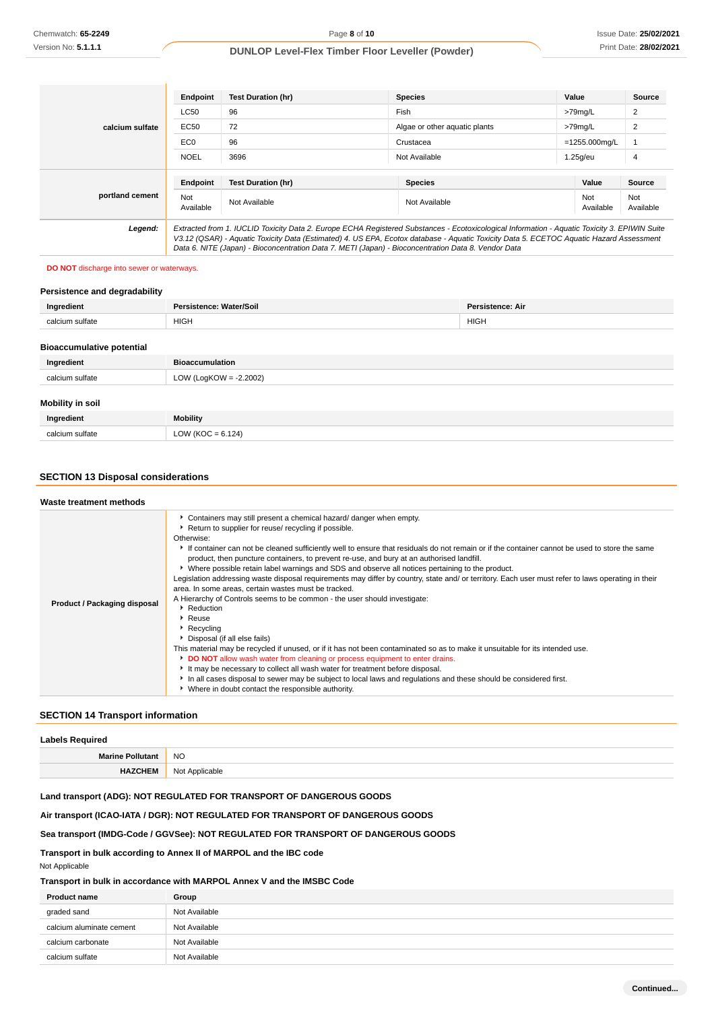| calcium sulfate | Endpoint                                                                                                                                                                                                                                                                                                                                                                                        | <b>Test Duration (hr)</b> | <b>Species</b>                | Value            | Source           |
|-----------------|-------------------------------------------------------------------------------------------------------------------------------------------------------------------------------------------------------------------------------------------------------------------------------------------------------------------------------------------------------------------------------------------------|---------------------------|-------------------------------|------------------|------------------|
|                 | <b>LC50</b>                                                                                                                                                                                                                                                                                                                                                                                     | 96                        | Fish                          | >79mg/L          | 2                |
|                 | EC50                                                                                                                                                                                                                                                                                                                                                                                            | 72                        | Algae or other aguatic plants | >79mg/L          | $\overline{2}$   |
|                 | EC <sub>0</sub>                                                                                                                                                                                                                                                                                                                                                                                 | 96                        | Crustacea                     | $=1255.000$ mg/L |                  |
|                 | <b>NOEL</b>                                                                                                                                                                                                                                                                                                                                                                                     | 3696                      | Not Available                 | $1.25q$ /eu      | 4                |
|                 |                                                                                                                                                                                                                                                                                                                                                                                                 |                           |                               |                  |                  |
|                 | Endpoint                                                                                                                                                                                                                                                                                                                                                                                        | <b>Test Duration (hr)</b> | <b>Species</b>                | Value            | <b>Source</b>    |
| portland cement | Not<br>Available                                                                                                                                                                                                                                                                                                                                                                                | Not Available             | Not Available                 | Not<br>Available | Not<br>Available |
| Legend:         | Extracted from 1. IUCLID Toxicity Data 2. Europe ECHA Registered Substances - Ecotoxicological Information - Aquatic Toxicity 3. EPIWIN Suite<br>V3.12 (QSAR) - Aquatic Toxicity Data (Estimated) 4. US EPA, Ecotox database - Aquatic Toxicity Data 5. ECETOC Aquatic Hazard Assessment<br>Data 6. NITE (Japan) - Bioconcentration Data 7. METI (Japan) - Bioconcentration Data 8. Vendor Data |                           |                               |                  |                  |

### **DO NOT** discharge into sewer or waterways.

# **Persistence and degradability**

| Ingredient                       | Persistence: Water/Soil<br><b>Persistence: Air</b> |             |  |  |
|----------------------------------|----------------------------------------------------|-------------|--|--|
| calcium sulfate                  | <b>HIGH</b>                                        | <b>HIGH</b> |  |  |
| <b>Bioaccumulative potential</b> |                                                    |             |  |  |
| Ingredient                       | <b>Bioaccumulation</b>                             |             |  |  |
| calcium sulfate                  | LOW (LogKOW = $-2.2002$ )                          |             |  |  |
| Mobility in soil                 |                                                    |             |  |  |
| Ingredient                       | <b>Mobility</b>                                    |             |  |  |
| calcium sulfate                  | $LOW (KOC = 6.124)$                                |             |  |  |

# **SECTION 13 Disposal considerations**

| Waste treatment methods      |                                                                                                                                                                                                                                                                                                                                                                                                                                                                                                                                                                                                                                                                                                                                                                                                                                                                                                                                                                                                                                                                                                                                                                                                                                                                                                                                       |
|------------------------------|---------------------------------------------------------------------------------------------------------------------------------------------------------------------------------------------------------------------------------------------------------------------------------------------------------------------------------------------------------------------------------------------------------------------------------------------------------------------------------------------------------------------------------------------------------------------------------------------------------------------------------------------------------------------------------------------------------------------------------------------------------------------------------------------------------------------------------------------------------------------------------------------------------------------------------------------------------------------------------------------------------------------------------------------------------------------------------------------------------------------------------------------------------------------------------------------------------------------------------------------------------------------------------------------------------------------------------------|
| Product / Packaging disposal | Containers may still present a chemical hazard/ danger when empty.<br>Return to supplier for reuse/ recycling if possible.<br>Otherwise:<br>If container can not be cleaned sufficiently well to ensure that residuals do not remain or if the container cannot be used to store the same<br>product, then puncture containers, to prevent re-use, and bury at an authorised landfill.<br>▶ Where possible retain label warnings and SDS and observe all notices pertaining to the product.<br>Legislation addressing waste disposal requirements may differ by country, state and/ or territory. Each user must refer to laws operating in their<br>area. In some areas, certain wastes must be tracked.<br>A Hierarchy of Controls seems to be common - the user should investigate:<br>Reduction<br>Reuse<br>Recycling<br>Disposal (if all else fails)<br>This material may be recycled if unused, or if it has not been contaminated so as to make it unsuitable for its intended use.<br>DO NOT allow wash water from cleaning or process equipment to enter drains.<br>It may be necessary to collect all wash water for treatment before disposal.<br>In all cases disposal to sewer may be subject to local laws and regulations and these should be considered first.<br>• Where in doubt contact the responsible authority. |

# **SECTION 14 Transport information**

| Labels Required         |                |  |
|-------------------------|----------------|--|
| <b>Marine Pollutant</b> | <b>NO</b>      |  |
| <b>HAZCHEM</b>          | Not Applicable |  |
|                         |                |  |

# **Land transport (ADG): NOT REGULATED FOR TRANSPORT OF DANGEROUS GOODS**

**Air transport (ICAO-IATA / DGR): NOT REGULATED FOR TRANSPORT OF DANGEROUS GOODS**

### **Sea transport (IMDG-Code / GGVSee): NOT REGULATED FOR TRANSPORT OF DANGEROUS GOODS**

**Transport in bulk according to Annex II of MARPOL and the IBC code**

Not Applicable

### **Transport in bulk in accordance with MARPOL Annex V and the IMSBC Code**

| <b>Product name</b>      | Group         |
|--------------------------|---------------|
| graded sand              | Not Available |
| calcium aluminate cement | Not Available |
| calcium carbonate        | Not Available |
| calcium sulfate          | Not Available |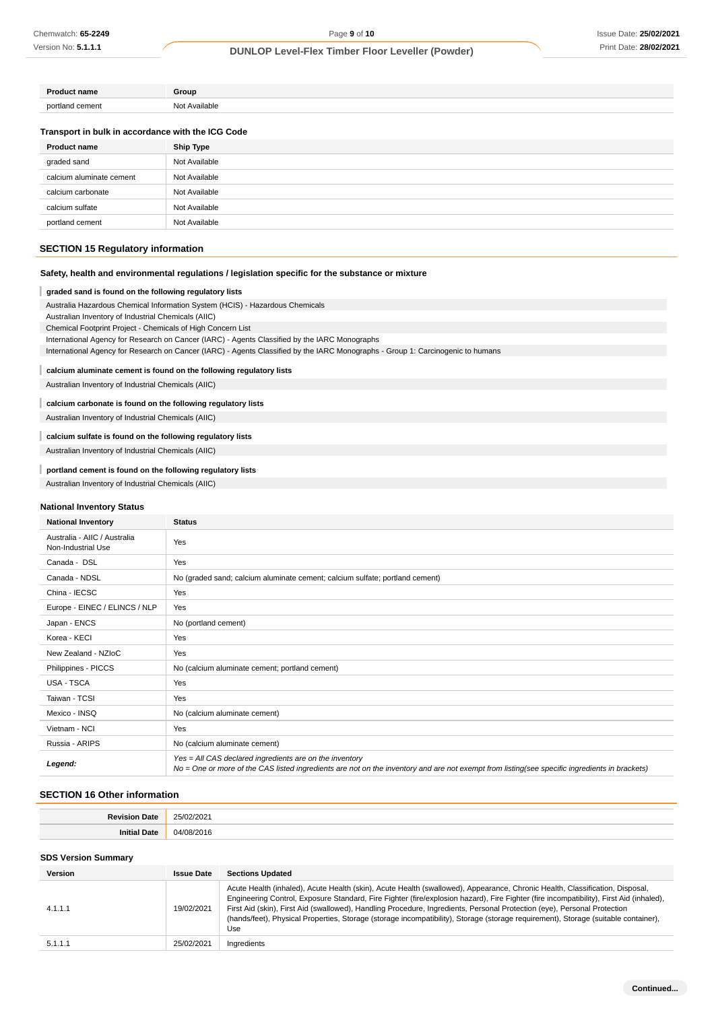| <b>Product name</b>                               | Group            |
|---------------------------------------------------|------------------|
| portland cement                                   | Not Available    |
| Transport in bulk in accordance with the ICG Code |                  |
| <b>Product name</b>                               | <b>Ship Type</b> |
| graded sand                                       | Not Available    |
| calcium aluminate cement                          | Not Available    |
| calcium carbonate                                 | Not Available    |
| calcium sulfate                                   | Not Available    |
| portland cement                                   | Not Available    |

# **SECTION 15 Regulatory information**

### **Safety, health and environmental regulations / legislation specific for the substance or mixture**

#### I **graded sand is found on the following regulatory lists**

Australia Hazardous Chemical Information System (HCIS) - Hazardous Chemicals Australian Inventory of Industrial Chemicals (AIIC)

Chemical Footprint Project - Chemicals of High Concern List

International Agency for Research on Cancer (IARC) - Agents Classified by the IARC Monographs

International Agency for Research on Cancer (IARC) - Agents Classified by the IARC Monographs - Group 1: Carcinogenic to humans

### **calcium aluminate cement is found on the following regulatory lists**

Australian Inventory of Industrial Chemicals (AIIC)

### **calcium carbonate is found on the following regulatory lists**

Australian Inventory of Industrial Chemicals (AIIC)

# **calcium sulfate is found on the following regulatory lists**

Australian Inventory of Industrial Chemicals (AIIC)

### **portland cement is found on the following regulatory lists**

Australian Inventory of Industrial Chemicals (AIIC)

#### **National Inventory Status**

| <b>National Inventory</b>                          | <b>Status</b>                                                                                                                                                                                            |
|----------------------------------------------------|----------------------------------------------------------------------------------------------------------------------------------------------------------------------------------------------------------|
| Australia - AIIC / Australia<br>Non-Industrial Use | Yes                                                                                                                                                                                                      |
| Canada - DSL                                       | Yes                                                                                                                                                                                                      |
| Canada - NDSL                                      | No (graded sand; calcium aluminate cement; calcium sulfate; portland cement)                                                                                                                             |
| China - IECSC                                      | Yes                                                                                                                                                                                                      |
| Europe - EINEC / ELINCS / NLP                      | Yes                                                                                                                                                                                                      |
| Japan - ENCS                                       | No (portland cement)                                                                                                                                                                                     |
| Korea - KECI                                       | Yes                                                                                                                                                                                                      |
| New Zealand - NZIoC                                | Yes                                                                                                                                                                                                      |
| Philippines - PICCS                                | No (calcium aluminate cement; portland cement)                                                                                                                                                           |
| <b>USA - TSCA</b>                                  | Yes                                                                                                                                                                                                      |
| Taiwan - TCSI                                      | Yes                                                                                                                                                                                                      |
| Mexico - INSQ                                      | No (calcium aluminate cement)                                                                                                                                                                            |
| Vietnam - NCI                                      | Yes                                                                                                                                                                                                      |
| Russia - ARIPS                                     | No (calcium aluminate cement)                                                                                                                                                                            |
| Legend:                                            | Yes = All CAS declared ingredients are on the inventory<br>No = One or more of the CAS listed ingredients are not on the inventory and are not exempt from listing(see specific ingredients in brackets) |

### **SECTION 16 Other information**

| 'ate | $202 -$           |
|------|-------------------|
|      | .                 |
| ™at⊭ | ገበ1⊧<br>(14)<br>. |

### **SDS Version Summary**

| <b>Version</b> | <b>Issue Date</b> | <b>Sections Updated</b>                                                                                                                                                                                                                                                                                                                                                                                                                                                                                                                          |
|----------------|-------------------|--------------------------------------------------------------------------------------------------------------------------------------------------------------------------------------------------------------------------------------------------------------------------------------------------------------------------------------------------------------------------------------------------------------------------------------------------------------------------------------------------------------------------------------------------|
| 4.1.1.1        | 19/02/2021        | Acute Health (inhaled), Acute Health (skin), Acute Health (swallowed), Appearance, Chronic Health, Classification, Disposal,<br>Engineering Control, Exposure Standard, Fire Fighter (fire/explosion hazard), Fire Fighter (fire incompatibility), First Aid (inhaled),<br>First Aid (skin), First Aid (swallowed), Handling Procedure, Ingredients, Personal Protection (eye), Personal Protection<br>(hands/feet), Physical Properties, Storage (storage incompatibility), Storage (storage requirement), Storage (suitable container),<br>Use |
| 5.1.1.1        | 25/02/2021        | Ingredients                                                                                                                                                                                                                                                                                                                                                                                                                                                                                                                                      |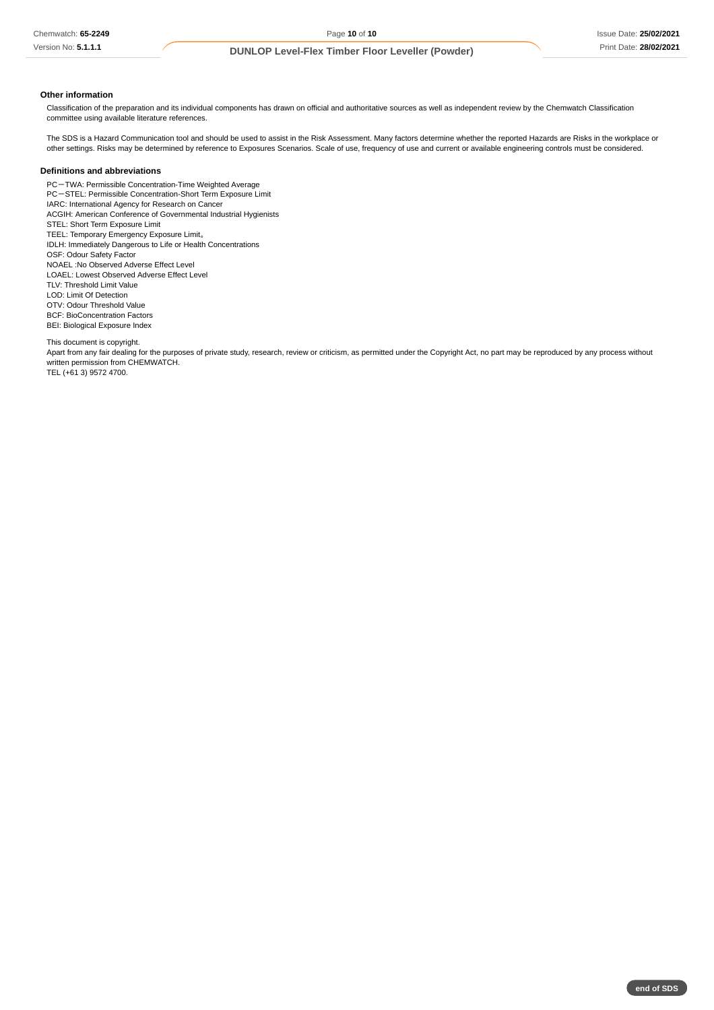### **Other information**

Classification of the preparation and its individual components has drawn on official and authoritative sources as well as independent review by the Chemwatch Classification committee using available literature references.

The SDS is a Hazard Communication tool and should be used to assist in the Risk Assessment. Many factors determine whether the reported Hazards are Risks in the workplace or other settings. Risks may be determined by reference to Exposures Scenarios. Scale of use, frequency of use and current or available engineering controls must be considered.

### **Definitions and abbreviations**

PC-TWA: Permissible Concentration-Time Weighted Average PC-STEL: Permissible Concentration-Short Term Exposure Limit IARC: International Agency for Research on Cancer ACGIH: American Conference of Governmental Industrial Hygienists STEL: Short Term Exposure Limit TEEL: Temporary Emergency Exposure Limit。 IDLH: Immediately Dangerous to Life or Health Concentrations OSF: Odour Safety Factor NOAEL :No Observed Adverse Effect Level LOAEL: Lowest Observed Adverse Effect Level TLV: Threshold Limit Value LOD: Limit Of Detection OTV: Odour Threshold Value BCF: BioConcentration Factors BEI: Biological Exposure Index

This document is copyright.

Apart from any fair dealing for the purposes of private study, research, review or criticism, as permitted under the Copyright Act, no part may be reproduced by any process without written permission from CHEMWATCH. TEL (+61 3) 9572 4700.

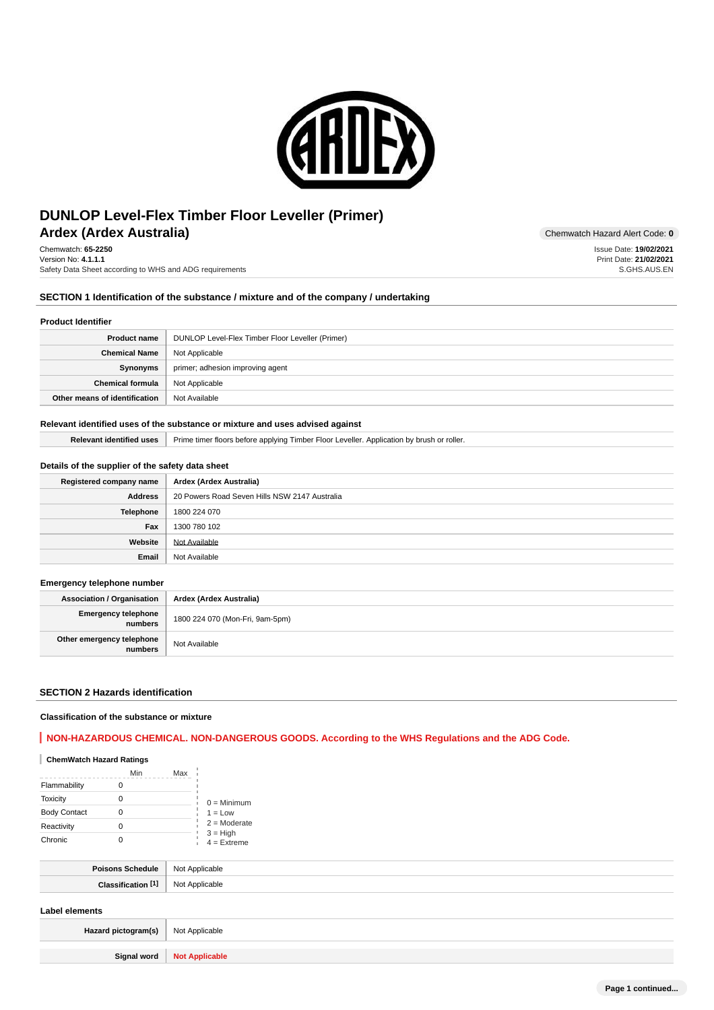

# **Ardex (Ardex Australia)** Chemwatch Hazard Alert Code: 0 **DUNLOP Level-Flex Timber Floor Leveller (Primer)**

Chemwatch: **65-2250** Version No: **4.1.1.1** Safety Data Sheet according to WHS and ADG requirements

## **SECTION 1 Identification of the substance / mixture and of the company / undertaking**

#### **Product Identifier**

| <b>Product name</b>           | DUNLOP Level-Flex Timber Floor Leveller (Primer) |
|-------------------------------|--------------------------------------------------|
| <b>Chemical Name</b>          | Not Applicable                                   |
| Synonyms                      | primer; adhesion improving agent                 |
| <b>Chemical formula</b>       | Not Applicable                                   |
| Other means of identification | Not Available                                    |

### **Relevant identified uses of the substance or mixture and uses advised against**

Relevant identified uses | Prime timer floors before applying Timber Floor Leveller. Application by brush or roller.

### **Details of the supplier of the safety data sheet**

| Registered company name | Ardex (Ardex Australia)                       |
|-------------------------|-----------------------------------------------|
| <b>Address</b>          | 20 Powers Road Seven Hills NSW 2147 Australia |
| Telephone               | 1800 224 070                                  |
| Fax                     | 1300 780 102                                  |
| Website                 | Not Available                                 |
| Email                   | Not Available                                 |

### **Emergency telephone number**

**Association / Organisation Ardex (Ardex Australia) Emergency telephone numbers** 1800 224 070 (Mon-Fri, 9am-5pm) **Other emergency telephone numbers** Not Available

### **SECTION 2 Hazards identification**

#### **Classification of the substance or mixture**

# **NON-HAZARDOUS CHEMICAL. NON-DANGEROUS GOODS. According to the WHS Regulations and the ADG Code.**

### **ChemWatch Hazard Ratings**

|                     | Min | Max |                             |
|---------------------|-----|-----|-----------------------------|
| Flammability        |     |     |                             |
| <b>Toxicity</b>     | 0   |     | $0 =$ Minimum               |
| <b>Body Contact</b> |     |     | $1 = Low$                   |
| Reactivity          |     |     | $2 =$ Moderate              |
| Chronic             |     |     | $3 = High$<br>$4 =$ Extreme |

| NIC<br>. |
|----------|
| יי       |

## **Label elements**

| Hazard pictogram(s)   Not Applicable |                              |
|--------------------------------------|------------------------------|
|                                      |                              |
|                                      | Signal word   Not Applicable |

Issue Date: **19/02/2021** Print Date: **21/02/2021** S.GHS.AUS.EN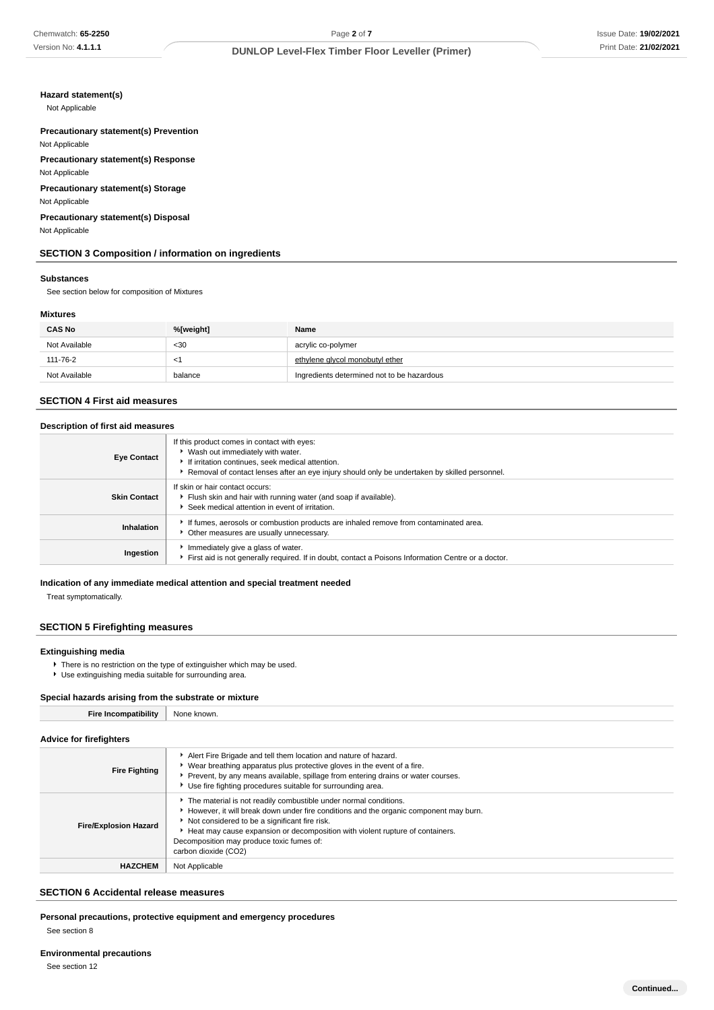### **Hazard statement(s)**

Not Applicable

### **Precautionary statement(s) Prevention** Not Applicable

**Precautionary statement(s) Response**

Not Applicable

**Precautionary statement(s) Storage** Not Applicable

### **Precautionary statement(s) Disposal** Not Applicable

# **SECTION 3 Composition / information on ingredients**

#### **Substances**

See section below for composition of Mixtures

### **Mixtures**

| <b>CAS No</b> | %[weight] | Name                                       |  |  |
|---------------|-----------|--------------------------------------------|--|--|
| Not Available | $30$      | acrylic co-polymer                         |  |  |
| 111-76-2      | <1        | ethylene alvcol monobutyl ether            |  |  |
| Not Available | balance   | Ingredients determined not to be hazardous |  |  |

## **SECTION 4 First aid measures**

# **Description of first aid measures**

| <b>Eye Contact</b>  | If this product comes in contact with eyes:<br>▶ Wash out immediately with water.<br>If irritation continues, seek medical attention.<br>Removal of contact lenses after an eye injury should only be undertaken by skilled personnel. |
|---------------------|----------------------------------------------------------------------------------------------------------------------------------------------------------------------------------------------------------------------------------------|
| <b>Skin Contact</b> | If skin or hair contact occurs:<br>Flush skin and hair with running water (and soap if available).<br>Seek medical attention in event of irritation.                                                                                   |
| Inhalation          | If fumes, aerosols or combustion products are inhaled remove from contaminated area.<br>• Other measures are usually unnecessary.                                                                                                      |
| Ingestion           | Immediately give a glass of water.<br>First aid is not generally required. If in doubt, contact a Poisons Information Centre or a doctor.                                                                                              |

### **Indication of any immediate medical attention and special treatment needed**

Treat symptomatically.

# **SECTION 5 Firefighting measures**

### **Extinguishing media**

- **F** There is no restriction on the type of extinguisher which may be used.
- Use extinguishing media suitable for surrounding area.

### **Special hazards arising from the substrate or mixture**

### **Advice for firefighters**

| <b>Fire Fighting</b>         | Alert Fire Brigade and tell them location and nature of hazard.<br>▶ Wear breathing apparatus plus protective gloves in the event of a fire.<br>Prevent, by any means available, spillage from entering drains or water courses.<br>Use fire fighting procedures suitable for surrounding area.                                                                    |
|------------------------------|--------------------------------------------------------------------------------------------------------------------------------------------------------------------------------------------------------------------------------------------------------------------------------------------------------------------------------------------------------------------|
| <b>Fire/Explosion Hazard</b> | The material is not readily combustible under normal conditions.<br>However, it will break down under fire conditions and the organic component may burn.<br>Not considered to be a significant fire risk.<br>► Heat may cause expansion or decomposition with violent rupture of containers.<br>Decomposition may produce toxic fumes of:<br>carbon dioxide (CO2) |
| <b>HAZCHEM</b>               | Not Applicable                                                                                                                                                                                                                                                                                                                                                     |

### **SECTION 6 Accidental release measures**

**Personal precautions, protective equipment and emergency procedures** See section 8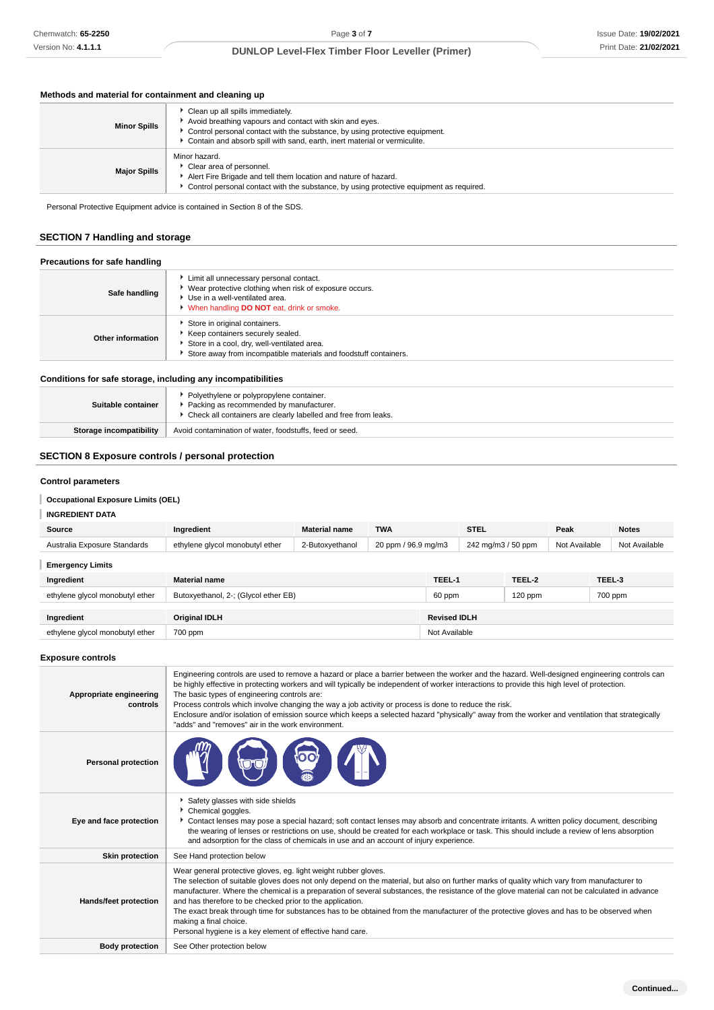# **Methods and material for containment and cleaning up**

| <b>Minor Spills</b> | • Clean up all spills immediately.<br>Avoid breathing vapours and contact with skin and eyes.<br>Control personal contact with the substance, by using protective equipment.<br>Contain and absorb spill with sand, earth, inert material or vermiculite. |
|---------------------|-----------------------------------------------------------------------------------------------------------------------------------------------------------------------------------------------------------------------------------------------------------|
| <b>Major Spills</b> | Minor hazard.<br>Clear area of personnel.<br>Alert Fire Brigade and tell them location and nature of hazard.<br>• Control personal contact with the substance, by using protective equipment as required.                                                 |

Personal Protective Equipment advice is contained in Section 8 of the SDS.

# **SECTION 7 Handling and storage**

### **Precautions for safe handling**

| Safe handling     | Limit all unnecessary personal contact.<br>▶ Wear protective clothing when risk of exposure occurs.<br>▶ Use in a well-ventilated area.<br>When handling DO NOT eat, drink or smoke.   |
|-------------------|----------------------------------------------------------------------------------------------------------------------------------------------------------------------------------------|
| Other information | Store in original containers.<br>▶ Keep containers securely sealed.<br>Store in a cool, dry, well-ventilated area.<br>Store away from incompatible materials and foodstuff containers. |

# **Conditions for safe storage, including any incompatibilities**

| Suitable container      | Polyethylene or polypropylene container.<br>Packing as recommended by manufacturer.<br>• Check all containers are clearly labelled and free from leaks. |
|-------------------------|---------------------------------------------------------------------------------------------------------------------------------------------------------|
| Storage incompatibility | Avoid contamination of water, foodstuffs, feed or seed.                                                                                                 |

# **SECTION 8 Exposure controls / personal protection**

### **Control parameters**

# **Occupational Exposure Limits (OEL)**

# **INGREDIENT DATA**

| Source                          | Ingredient                           | <b>Material name</b> | <b>TWA</b>          |                     | <b>STEL</b>        |           | Peak          | <b>Notes</b>  |
|---------------------------------|--------------------------------------|----------------------|---------------------|---------------------|--------------------|-----------|---------------|---------------|
| Australia Exposure Standards    | ethylene glycol monobutyl ether      | 2-Butoxyethanol      | 20 ppm / 96.9 mg/m3 |                     | 242 mg/m3 / 50 ppm |           | Not Available | Not Available |
| <b>Emergency Limits</b>         |                                      |                      |                     |                     |                    |           |               |               |
| Ingredient                      | <b>Material name</b>                 |                      |                     | TEEL-1              |                    | TEEL-2    |               | TEEL-3        |
| ethylene glycol monobutyl ether | Butoxyethanol, 2-; (Glycol ether EB) |                      |                     | 60 ppm              |                    | $120$ ppm |               | 700 ppm       |
|                                 |                                      |                      |                     |                     |                    |           |               |               |
| Ingredient                      | <b>Original IDLH</b>                 |                      |                     | <b>Revised IDLH</b> |                    |           |               |               |
| ethylene glycol monobutyl ether | 700 ppm                              |                      |                     | Not Available       |                    |           |               |               |

# **Exposure controls**

| Appropriate engineering<br>controls | Engineering controls are used to remove a hazard or place a barrier between the worker and the hazard. Well-designed engineering controls can<br>be highly effective in protecting workers and will typically be independent of worker interactions to provide this high level of protection.<br>The basic types of engineering controls are:<br>Process controls which involve changing the way a job activity or process is done to reduce the risk.<br>Enclosure and/or isolation of emission source which keeps a selected hazard "physically" away from the worker and ventilation that strategically<br>"adds" and "removes" air in the work environment.   |
|-------------------------------------|-------------------------------------------------------------------------------------------------------------------------------------------------------------------------------------------------------------------------------------------------------------------------------------------------------------------------------------------------------------------------------------------------------------------------------------------------------------------------------------------------------------------------------------------------------------------------------------------------------------------------------------------------------------------|
| <b>Personal protection</b>          |                                                                                                                                                                                                                                                                                                                                                                                                                                                                                                                                                                                                                                                                   |
| Eye and face protection             | Safety glasses with side shields<br>Chemical goggles.<br>Contact lenses may pose a special hazard; soft contact lenses may absorb and concentrate irritants. A written policy document, describing<br>the wearing of lenses or restrictions on use, should be created for each workplace or task. This should include a review of lens absorption<br>and adsorption for the class of chemicals in use and an account of injury experience.                                                                                                                                                                                                                        |
| <b>Skin protection</b>              | See Hand protection below                                                                                                                                                                                                                                                                                                                                                                                                                                                                                                                                                                                                                                         |
| <b>Hands/feet protection</b>        | Wear general protective gloves, eg. light weight rubber gloves.<br>The selection of suitable gloves does not only depend on the material, but also on further marks of quality which vary from manufacturer to<br>manufacturer. Where the chemical is a preparation of several substances, the resistance of the glove material can not be calculated in advance<br>and has therefore to be checked prior to the application.<br>The exact break through time for substances has to be obtained from the manufacturer of the protective gloves and has to be observed when<br>making a final choice.<br>Personal hygiene is a key element of effective hand care. |
| <b>Body protection</b>              | See Other protection below                                                                                                                                                                                                                                                                                                                                                                                                                                                                                                                                                                                                                                        |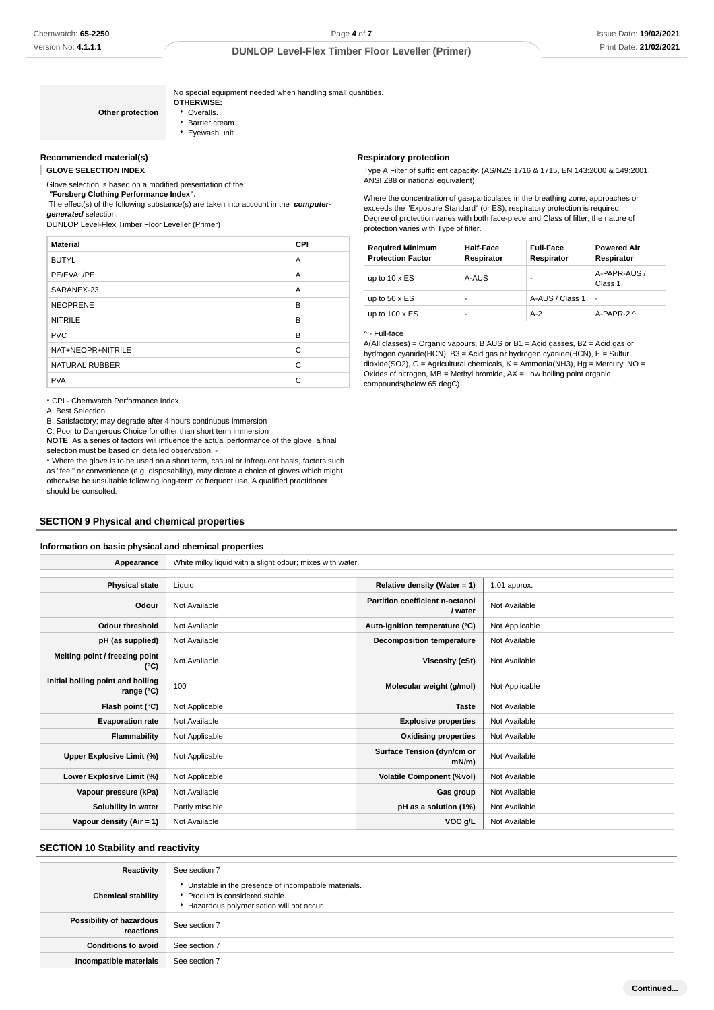|                  | No special equipment needed when handling small quantities.<br><b>OTHERWISE:</b> |
|------------------|----------------------------------------------------------------------------------|
| Other protection | • Overalls.                                                                      |
|                  | Barrier cream.                                                                   |
|                  | Eyewash unit.                                                                    |

### **Recommended material(s)**

**GLOVE SELECTION INDEX**

Glove selection is based on a modified presentation of the:

 **"Forsberg Clothing Performance Index".**

 The effect(s) of the following substance(s) are taken into account in the **computergenerated** selection:

DUNLOP Level-Flex Timber Floor Leveller (Primer)

| <b>Material</b>       | <b>CPI</b> |
|-----------------------|------------|
| <b>BUTYL</b>          | A          |
| PE/EVAL/PE            | A          |
| SARANEX-23            | A          |
| <b>NEOPRENE</b>       | B          |
| <b>NITRILE</b>        | B          |
| <b>PVC</b>            | B          |
| NAT+NEOPR+NITRILE     | C          |
| <b>NATURAL RUBBER</b> | C          |
| <b>PVA</b>            | C          |

\* CPI - Chemwatch Performance Index

A: Best Selection

B: Satisfactory; may degrade after 4 hours continuous immersion

C: Poor to Dangerous Choice for other than short term immersion

**NOTE**: As a series of factors will influence the actual performance of the glove, a final selection must be based on detailed observation. -

\* Where the glove is to be used on a short term, casual or infrequent basis, factors such as "feel" or convenience (e.g. disposability), may dictate a choice of gloves which might otherwise be unsuitable following long-term or frequent use. A qualified practitioner should be consulted.

### **SECTION 9 Physical and chemical properties**

### **Information on basic physical and chemical properties**

| Appearance                                      | White milky liquid with a slight odour; mixes with water. |                                            |                |
|-------------------------------------------------|-----------------------------------------------------------|--------------------------------------------|----------------|
|                                                 |                                                           |                                            |                |
| <b>Physical state</b>                           | Liquid                                                    | Relative density (Water = $1$ )            | 1.01 approx.   |
| Odour                                           | Not Available                                             | Partition coefficient n-octanol<br>/ water | Not Available  |
| <b>Odour threshold</b>                          | Not Available                                             | Auto-ignition temperature (°C)             | Not Applicable |
| pH (as supplied)                                | Not Available                                             | <b>Decomposition temperature</b>           | Not Available  |
| Melting point / freezing point<br>(°C)          | Not Available                                             | Viscosity (cSt)                            | Not Available  |
| Initial boiling point and boiling<br>range (°C) | 100                                                       | Molecular weight (g/mol)                   | Not Applicable |
| Flash point (°C)                                | Not Applicable                                            | <b>Taste</b>                               | Not Available  |
| <b>Evaporation rate</b>                         | Not Available                                             | <b>Explosive properties</b>                | Not Available  |
| Flammability                                    | Not Applicable                                            | <b>Oxidising properties</b>                | Not Available  |
| Upper Explosive Limit (%)                       | Not Applicable                                            | Surface Tension (dyn/cm or<br>mN/m         | Not Available  |
| Lower Explosive Limit (%)                       | Not Applicable                                            | <b>Volatile Component (%vol)</b>           | Not Available  |
| Vapour pressure (kPa)                           | Not Available                                             | Gas group                                  | Not Available  |
| Solubility in water                             | Partly miscible                                           | pH as a solution (1%)                      | Not Available  |
| Vapour density (Air = 1)                        | Not Available                                             | VOC g/L                                    | Not Available  |

### **SECTION 10 Stability and reactivity**

| Reactivity                            | See section 7                                                                                                                        |
|---------------------------------------|--------------------------------------------------------------------------------------------------------------------------------------|
| <b>Chemical stability</b>             | • Unstable in the presence of incompatible materials.<br>▶ Product is considered stable.<br>Hazardous polymerisation will not occur. |
| Possibility of hazardous<br>reactions | See section 7                                                                                                                        |
| <b>Conditions to avoid</b>            | See section 7                                                                                                                        |
| Incompatible materials                | See section 7                                                                                                                        |

#### **Respiratory protection**

Type A Filter of sufficient capacity. (AS/NZS 1716 & 1715, EN 143:2000 & 149:2001, ANSI Z88 or national equivalent)

Where the concentration of gas/particulates in the breathing zone, approaches or exceeds the "Exposure Standard" (or ES), respiratory protection is required. Degree of protection varies with both face-piece and Class of filter; the nature of protection varies with Type of filter.

| <b>Required Minimum</b><br><b>Protection Factor</b> | <b>Half-Face</b><br>Respirator | <b>Full-Face</b><br>Respirator | <b>Powered Air</b><br>Respirator |
|-----------------------------------------------------|--------------------------------|--------------------------------|----------------------------------|
| up to $10 \times ES$                                | A-AUS                          |                                | A-PAPR-AUS /<br>Class 1          |
| up to $50 \times ES$                                | -                              | A-AUS / Class 1                | $\overline{a}$                   |
| up to $100 \times ES$                               | -                              | $A-2$                          | A-PAPR-2 ^                       |

^ - Full-face

A(All classes) = Organic vapours, B AUS or B1 = Acid gasses, B2 = Acid gas or hydrogen cyanide(HCN), B3 = Acid gas or hydrogen cyanide(HCN), E = Sulfur dioxide(SO2), G = Agricultural chemicals, K = Ammonia(NH3), Hg = Mercury, NO = Oxides of nitrogen,  $\overline{MB}$  = Methyl bromide,  $AX$  = Low boiling point organic compounds(below 65 degC)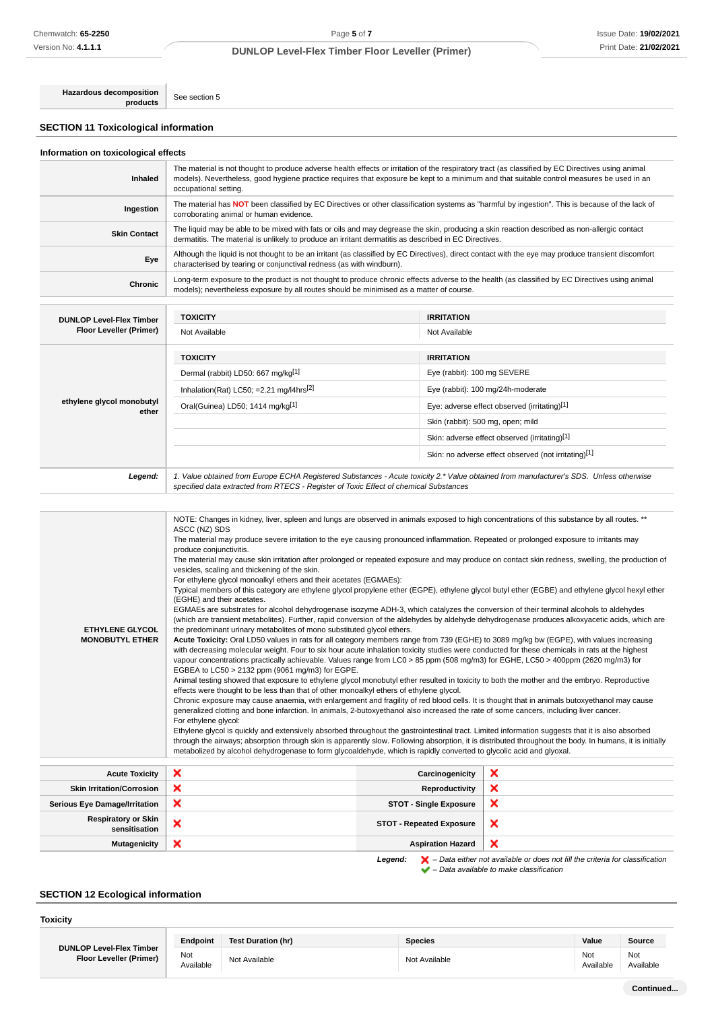**Hazardous decomposition products** See section 5

**SECTION 11 Toxicological information**

| Information on toxicological effects |
|--------------------------------------|
|--------------------------------------|

| Inhaled                                                           | The material is not thought to produce adverse health effects or irritation of the respiratory tract (as classified by EC Directives using animal<br>models). Nevertheless, good hygiene practice requires that exposure be kept to a minimum and that suitable control measures be used in an<br>occupational setting. |                                               |  |
|-------------------------------------------------------------------|-------------------------------------------------------------------------------------------------------------------------------------------------------------------------------------------------------------------------------------------------------------------------------------------------------------------------|-----------------------------------------------|--|
| Ingestion                                                         | The material has NOT been classified by EC Directives or other classification systems as "harmful by ingestion". This is because of the lack of<br>corroborating animal or human evidence.                                                                                                                              |                                               |  |
| <b>Skin Contact</b>                                               | The liquid may be able to be mixed with fats or oils and may degrease the skin, producing a skin reaction described as non-allergic contact<br>dermatitis. The material is unlikely to produce an irritant dermatitis as described in EC Directives.                                                                    |                                               |  |
| Eye                                                               | Although the liquid is not thought to be an irritant (as classified by EC Directives), direct contact with the eye may produce transient discomfort<br>characterised by tearing or conjunctival redness (as with windburn).                                                                                             |                                               |  |
| <b>Chronic</b>                                                    | Long-term exposure to the product is not thought to produce chronic effects adverse to the health (as classified by EC Directives using animal<br>models); nevertheless exposure by all routes should be minimised as a matter of course.                                                                               |                                               |  |
|                                                                   |                                                                                                                                                                                                                                                                                                                         |                                               |  |
|                                                                   | <b>TOXICITY</b>                                                                                                                                                                                                                                                                                                         | <b>IRRITATION</b>                             |  |
| <b>DUNLOP Level-Flex Timber</b><br><b>Floor Leveller (Primer)</b> | Not Available                                                                                                                                                                                                                                                                                                           | Not Available                                 |  |
|                                                                   | <b>TOXICITY</b>                                                                                                                                                                                                                                                                                                         | <b>IRRITATION</b>                             |  |
|                                                                   | Dermal (rabbit) LD50: 667 mg/kg[1]                                                                                                                                                                                                                                                                                      | Eye (rabbit): 100 mg SEVERE                   |  |
|                                                                   | Inhalation(Rat) LC50; =2.21 mg/l4hrs <sup>[2]</sup>                                                                                                                                                                                                                                                                     | Eye (rabbit): 100 mg/24h-moderate             |  |
| ethylene glycol monobutyl                                         | Oral(Guinea) LD50; 1414 mg/kg[1]                                                                                                                                                                                                                                                                                        | Eye: adverse effect observed (irritating)[1]  |  |
| ether                                                             |                                                                                                                                                                                                                                                                                                                         | Skin (rabbit): 500 mg, open; mild             |  |
|                                                                   |                                                                                                                                                                                                                                                                                                                         | Skin: adverse effect observed (irritating)[1] |  |

Skin: no adverse effect observed (not irritating)[1]

Legend: | 1. Value obtained from Europe ECHA Registered Substances - Acute toxicity 2.\* Value obtained from manufacturer's SDS. Unless otherwise specified data extracted from RTECS - Register of Toxic Effect of chemical Substances

| <b>ETHYLENE GLYCOL</b><br><b>MONOBUTYL ETHER</b> | ASCC (NZ) SDS<br>The material may produce severe irritation to the eye causing pronounced inflammation. Repeated or prolonged exposure to irritants may<br>produce conjunctivitis.<br>The material may cause skin irritation after prolonged or repeated exposure and may produce on contact skin redness, swelling, the production of<br>vesicles, scaling and thickening of the skin.<br>For ethylene glycol monoalkyl ethers and their acetates (EGMAEs):<br>Typical members of this category are ethylene glycol propylene ether (EGPE), ethylene glycol butyl ether (EGBE) and ethylene glycol hexyl ether<br>(EGHE) and their acetates.<br>EGMAEs are substrates for alcohol dehydrogenase isozyme ADH-3, which catalyzes the conversion of their terminal alcohols to aldehydes<br>(which are transient metabolites). Further, rapid conversion of the aldehydes by aldehyde dehydrogenase produces alkoxyacetic acids, which are<br>the predominant urinary metabolites of mono substituted glycol ethers.<br>Acute Toxicity: Oral LD50 values in rats for all category members range from 739 (EGHE) to 3089 mg/kg bw (EGPE), with values increasing<br>with decreasing molecular weight. Four to six hour acute inhalation toxicity studies were conducted for these chemicals in rats at the highest<br>vapour concentrations practically achievable. Values range from LC0 > 85 ppm (508 mg/m3) for EGHE, LC50 > 400ppm (2620 mg/m3) for<br>EGBEA to LC50 > 2132 ppm (9061 mg/m3) for EGPE.<br>Animal testing showed that exposure to ethylene glycol monobutyl ether resulted in toxicity to both the mother and the embryo. Reproductive<br>effects were thought to be less than that of other monoalkyl ethers of ethylene glycol.<br>Chronic exposure may cause anaemia, with enlargement and fragility of red blood cells. It is thought that in animals butoxyethanol may cause<br>generalized clotting and bone infarction. In animals, 2-butoxyethanol also increased the rate of some cancers, including liver cancer.<br>For ethylene glycol:<br>Ethylene glycol is quickly and extensively absorbed throughout the gastrointestinal tract. Limited information suggests that it is also absorbed<br>through the airways; absorption through skin is apparently slow. Following absorption, it is distributed throughout the body. In humans, it is initially<br>metabolized by alcohol dehydrogenase to form glycoaldehyde, which is rapidly converted to glycolic acid and glyoxal. |                                 |                                                                                                    |
|--------------------------------------------------|-------------------------------------------------------------------------------------------------------------------------------------------------------------------------------------------------------------------------------------------------------------------------------------------------------------------------------------------------------------------------------------------------------------------------------------------------------------------------------------------------------------------------------------------------------------------------------------------------------------------------------------------------------------------------------------------------------------------------------------------------------------------------------------------------------------------------------------------------------------------------------------------------------------------------------------------------------------------------------------------------------------------------------------------------------------------------------------------------------------------------------------------------------------------------------------------------------------------------------------------------------------------------------------------------------------------------------------------------------------------------------------------------------------------------------------------------------------------------------------------------------------------------------------------------------------------------------------------------------------------------------------------------------------------------------------------------------------------------------------------------------------------------------------------------------------------------------------------------------------------------------------------------------------------------------------------------------------------------------------------------------------------------------------------------------------------------------------------------------------------------------------------------------------------------------------------------------------------------------------------------------------------------------------------------------------------------------------------------------------------------------------------------------------------------------------------------------------------------------------------------------------|---------------------------------|----------------------------------------------------------------------------------------------------|
| <b>Acute Toxicity</b>                            | ×                                                                                                                                                                                                                                                                                                                                                                                                                                                                                                                                                                                                                                                                                                                                                                                                                                                                                                                                                                                                                                                                                                                                                                                                                                                                                                                                                                                                                                                                                                                                                                                                                                                                                                                                                                                                                                                                                                                                                                                                                                                                                                                                                                                                                                                                                                                                                                                                                                                                                                           | Carcinogenicity                 | ×                                                                                                  |
| <b>Skin Irritation/Corrosion</b>                 | ×                                                                                                                                                                                                                                                                                                                                                                                                                                                                                                                                                                                                                                                                                                                                                                                                                                                                                                                                                                                                                                                                                                                                                                                                                                                                                                                                                                                                                                                                                                                                                                                                                                                                                                                                                                                                                                                                                                                                                                                                                                                                                                                                                                                                                                                                                                                                                                                                                                                                                                           | <b>Reproductivity</b>           | ×                                                                                                  |
| <b>Serious Eye Damage/Irritation</b>             | ×                                                                                                                                                                                                                                                                                                                                                                                                                                                                                                                                                                                                                                                                                                                                                                                                                                                                                                                                                                                                                                                                                                                                                                                                                                                                                                                                                                                                                                                                                                                                                                                                                                                                                                                                                                                                                                                                                                                                                                                                                                                                                                                                                                                                                                                                                                                                                                                                                                                                                                           | <b>STOT - Single Exposure</b>   | ×                                                                                                  |
| <b>Respiratory or Skin</b><br>sensitisation      | ×                                                                                                                                                                                                                                                                                                                                                                                                                                                                                                                                                                                                                                                                                                                                                                                                                                                                                                                                                                                                                                                                                                                                                                                                                                                                                                                                                                                                                                                                                                                                                                                                                                                                                                                                                                                                                                                                                                                                                                                                                                                                                                                                                                                                                                                                                                                                                                                                                                                                                                           | <b>STOT - Repeated Exposure</b> | ×                                                                                                  |
| <b>Mutagenicity</b>                              | ×                                                                                                                                                                                                                                                                                                                                                                                                                                                                                                                                                                                                                                                                                                                                                                                                                                                                                                                                                                                                                                                                                                                                                                                                                                                                                                                                                                                                                                                                                                                                                                                                                                                                                                                                                                                                                                                                                                                                                                                                                                                                                                                                                                                                                                                                                                                                                                                                                                                                                                           | <b>Aspiration Hazard</b>        | ×                                                                                                  |
|                                                  |                                                                                                                                                                                                                                                                                                                                                                                                                                                                                                                                                                                                                                                                                                                                                                                                                                                                                                                                                                                                                                                                                                                                                                                                                                                                                                                                                                                                                                                                                                                                                                                                                                                                                                                                                                                                                                                                                                                                                                                                                                                                                                                                                                                                                                                                                                                                                                                                                                                                                                             | Legend:                         | $\blacktriangleright$ - Data either not available or does not fill the criteria for classification |

– Data available to make classification

# **SECTION 12 Ecological information**

**Toxicity**

| TUXIGILY                                                   |                  |                           |                |                  |                  |
|------------------------------------------------------------|------------------|---------------------------|----------------|------------------|------------------|
|                                                            | Endpoint         | <b>Test Duration (hr)</b> | <b>Species</b> | Value            | Source           |
| <b>DUNLOP Level-Flex Timber</b><br>Floor Leveller (Primer) | Not<br>Available | Not Available             | Not Available  | Not<br>Available | Not<br>Available |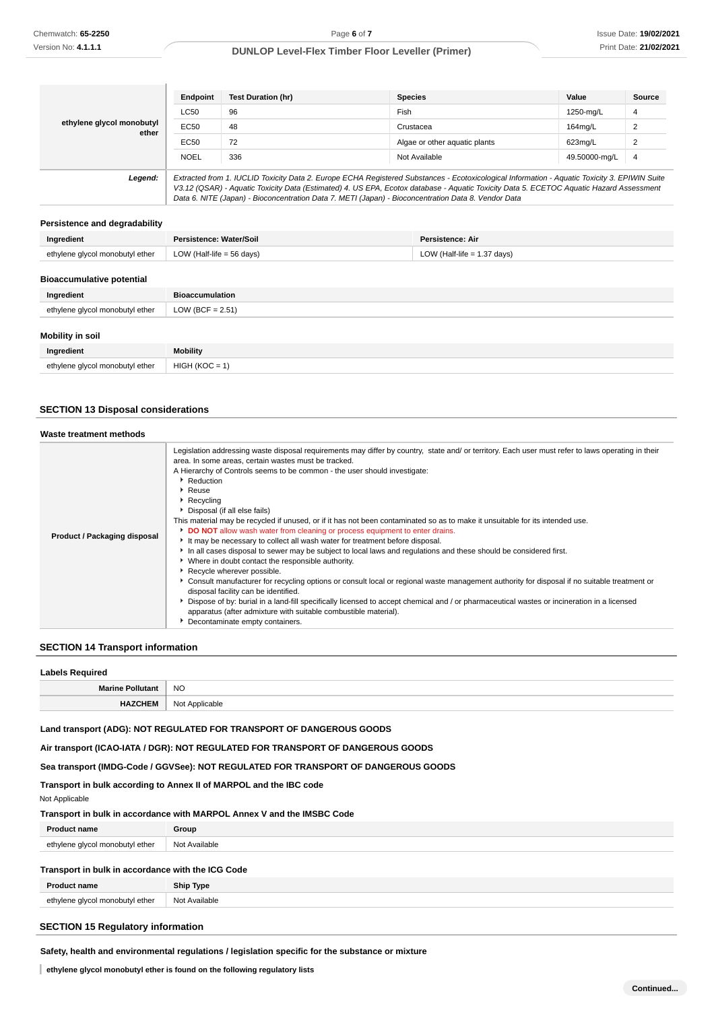|                                    | Endpoint                                                                                                                                                                                                                                                                                                                                                                                        | <b>Test Duration (hr)</b> | <b>Species</b>                | Value         | Source |
|------------------------------------|-------------------------------------------------------------------------------------------------------------------------------------------------------------------------------------------------------------------------------------------------------------------------------------------------------------------------------------------------------------------------------------------------|---------------------------|-------------------------------|---------------|--------|
| ethylene glycol monobutyl<br>ether | <b>LC50</b>                                                                                                                                                                                                                                                                                                                                                                                     | 96                        | Fish                          | 1250-mg/L     | 4      |
|                                    | EC50                                                                                                                                                                                                                                                                                                                                                                                            | 48                        | Crustacea                     | 164mg/L       | 2      |
|                                    | EC50                                                                                                                                                                                                                                                                                                                                                                                            | 72                        | Algae or other aguatic plants | 623mg/L       |        |
|                                    | <b>NOEL</b>                                                                                                                                                                                                                                                                                                                                                                                     | 336                       | Not Available                 | 49.50000-mg/L | 4      |
| Legend:                            | Extracted from 1. IUCLID Toxicity Data 2. Europe ECHA Registered Substances - Ecotoxicological Information - Aquatic Toxicity 3. EPIWIN Suite<br>V3.12 (QSAR) - Aquatic Toxicity Data (Estimated) 4. US EPA, Ecotox database - Aquatic Toxicity Data 5. ECETOC Aquatic Hazard Assessment<br>Data 6. NITE (Japan) - Bioconcentration Data 7. METI (Japan) - Bioconcentration Data 8. Vendor Data |                           |                               |               |        |

#### **Persistence and degradability**

| Ingredient                       | Persistence: Water/Soil                                      | <b>Persistence: Air</b> |  |
|----------------------------------|--------------------------------------------------------------|-------------------------|--|
| ethylene glycol monobutyl ether  | LOW (Half-life $=$ 56 days)<br>LOW (Half-life $= 1.37$ days) |                         |  |
|                                  |                                                              |                         |  |
| <b>Bioaccumulative potential</b> |                                                              |                         |  |
| Ingredient                       | <b>Bioaccumulation</b>                                       |                         |  |
| ethylene glycol monobutyl ether  | LOW (BCF = $2.51$ )                                          |                         |  |
|                                  |                                                              |                         |  |
| <b>Mobility in soil</b>          |                                                              |                         |  |
| Ingredient                       | <b>Mobility</b>                                              |                         |  |
| ethylene glycol monobutyl ether  | $HIGH (KOC = 1)$                                             |                         |  |

#### **SECTION 13 Disposal considerations**

#### **Waste treatment methods Product / Packaging disposal** Legislation addressing waste disposal requirements may differ by country, state and/ or territory. Each user must refer to laws operating in their area. In some areas, certain wastes must be tracked. A Hierarchy of Controls seems to be common - the user should investigate: **P** Reduction ▶ Reuse ▶ Recycling Disposal (if all else fails) This material may be recycled if unused, or if it has not been contaminated so as to make it unsuitable for its intended use. **DO NOT** allow wash water from cleaning or process equipment to enter drain It may be necessary to collect all wash water for treatment before disposal. In all cases disposal to sewer may be subject to local laws and regulations and these should be considered first. Where in doubt contact the responsible authority. **Recycle wherever possible.** Consult manufacturer for recycling options or consult local or regional waste management authority for disposal if no suitable treatment or disposal facility can be identified. Dispose of by: burial in a land-fill specifically licensed to accept chemical and / or pharmaceutical wastes or incineration in a licensed apparatus (after admixture with suitable combustible material). **Decontaminate empty containers.**

# **SECTION 14 Transport information**

| <b>Labels Required</b>  |                |
|-------------------------|----------------|
| <b>Marine Pollutant</b> | <b>NO</b>      |
| <b>HAZCHEM</b>          | Not Applicable |

### **Land transport (ADG): NOT REGULATED FOR TRANSPORT OF DANGEROUS GOODS**

**Air transport (ICAO-IATA / DGR): NOT REGULATED FOR TRANSPORT OF DANGEROUS GOODS**

**Sea transport (IMDG-Code / GGVSee): NOT REGULATED FOR TRANSPORT OF DANGEROUS GOODS**

**Transport in bulk according to Annex II of MARPOL and the IBC code**

Not Applicable

#### **Transport in bulk in accordance with MARPOL Annex V and the IMSBC Code**

| Proc                            | Group         |
|---------------------------------|---------------|
| ethylene glycol monobutyl ether | Not Available |
| $   -$                          | .             |
| $\sim$                          |               |

### **Transport in bulk in accordance with the ICG Code**

| ' name                          | <b>Ship Type</b> |
|---------------------------------|------------------|
| ethylene glycol monobutyl ether | Not Available    |
| $   -$                          |                  |

# **SECTION 15 Regulatory information**

**Safety, health and environmental regulations / legislation specific for the substance or mixture**

**ethylene glycol monobutyl ether is found on the following regulatory lists**